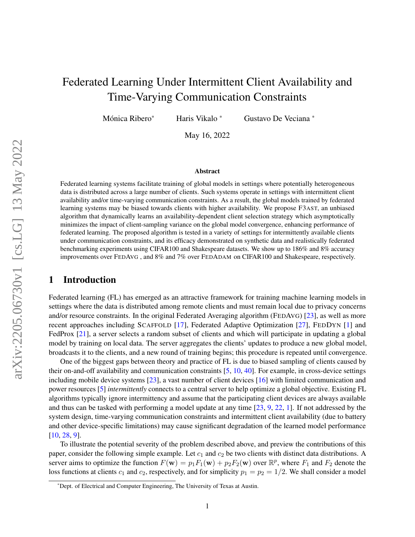# Federated Learning Under Intermittent Client Availability and Time-Varying Communication Constraints

Mónica Ribero\*

\* Haris Vikalo \* Gustavo De Veciana \*

May 16, 2022

#### Abstract

Federated learning systems facilitate training of global models in settings where potentially heterogeneous data is distributed across a large number of clients. Such systems operate in settings with intermittent client availability and/or time-varying communication constraints. As a result, the global models trained by federated learning systems may be biased towards clients with higher availability. We propose F3AST, an unbiased algorithm that dynamically learns an availability-dependent client selection strategy which asymptotically minimizes the impact of client-sampling variance on the global model convergence, enhancing performance of federated learning. The proposed algorithm is tested in a variety of settings for intermittently available clients under communication constraints, and its efficacy demonstrated on synthetic data and realistically federated benchmarking experiments using CIFAR100 and Shakespeare datasets. We show up to 186% and 8% accuracy improvements over FEDAVG , and 8% and 7% over FEDADAM on CIFAR100 and Shakespeare, respectively.

## <span id="page-0-0"></span>1 Introduction

Federated learning (FL) has emerged as an attractive framework for training machine learning models in settings where the data is distributed among remote clients and must remain local due to privacy concerns and/or resource constraints. In the original Federated Averaging algorithm (FEDAVG) [\[23\]](#page-13-0), as well as more recent approaches including SCAFFOLD [\[17\]](#page-13-1), Federated Adaptive Optimization [\[27\]](#page-13-2), FEDDYN [\[1\]](#page-12-0) and FedProx [\[21\]](#page-13-3), a server selects a random subset of clients and which will participate in updating a global model by training on local data. The server aggregates the clients' updates to produce a new global model, broadcasts it to the clients, and a new round of training begins; this procedure is repeated until convergence.

One of the biggest gaps between theory and practice of FL is due to biased sampling of clients caused by their on-and-off availability and communication constraints [\[5,](#page-12-1) [10,](#page-12-2) [40\]](#page-14-0). For example, in cross-device settings including mobile device systems [\[23\]](#page-13-0), a vast number of client devices [\[16\]](#page-13-4) with limited communication and power resources [\[5\]](#page-12-1) *intermittently* connects to a central server to help optimize a global objective. Existing FL algorithms typically ignore intermittency and assume that the participating client devices are always available and thus can be tasked with performing a model update at any time [\[23,](#page-13-0) [9,](#page-12-3) [22,](#page-13-5) [1\]](#page-12-0). If not addressed by the system design, time-varying communication constraints and intermittent client availability (due to battery and other device-specific limitations) may cause significant degradation of the learned model performance [\[10,](#page-12-2) [28,](#page-13-6) [9\]](#page-12-3).

To illustrate the potential severity of the problem described above, and preview the contributions of this paper, consider the following simple example. Let  $c_1$  and  $c_2$  be two clients with distinct data distributions. A server aims to optimize the function  $F(\mathbf{w}) = p_1 F_1(\mathbf{w}) + p_2 F_2(\mathbf{w})$  over  $\mathbb{R}^p$ , where  $F_1$  and  $F_2$  denote the loss functions at clients  $c_1$  and  $c_2$ , respectively, and for simplicity  $p_1 = p_2 = 1/2$ . We shall consider a model

<sup>\*</sup>Dept. of Electrical and Computer Engineering, The University of Texas at Austin.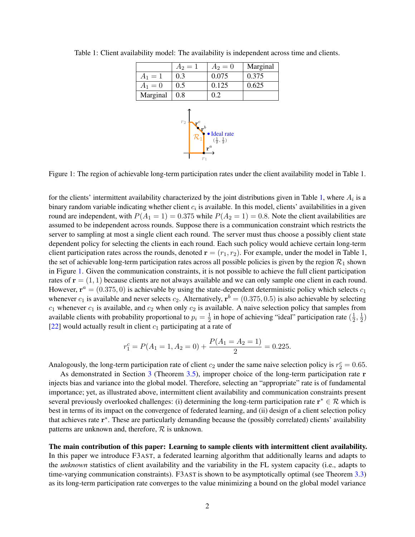|           | $A_2 = 1$      | $A_2 = 0$                                    | Marginal |
|-----------|----------------|----------------------------------------------|----------|
| $A_1 = 1$ | 0.3            | 0.075                                        | 0.375    |
| $A_1 = 0$ | 0.5            | 0.125                                        | 0.625    |
| Marginal  | 0.8            | 0.2                                          |          |
|           | r <sub>2</sub> | • Ideal rate<br>$(\frac{1}{2}, \frac{1}{2})$ |          |

<span id="page-1-1"></span><span id="page-1-0"></span>Table 1: Client availability model: The availability is independent across time and clients.

Figure 1: The region of achievable long-term participation rates under the client availability model in Table 1.

r a

 $r_1$ 

2

2

for the clients' intermittent availability characterized by the joint distributions given in Table [1,](#page-1-0) where  $A_i$  is a binary random variable indicating whether client  $c_i$  is available. In this model, clients' availabilities in a given round are independent, with  $P(A_1 = 1) = 0.375$  while  $P(A_2 = 1) = 0.8$ . Note the client availabilities are assumed to be independent across rounds. Suppose there is a communication constraint which restricts the server to sampling at most a single client each round. The server must thus choose a possibly client state dependent policy for selecting the clients in each round. Each such policy would achieve certain long-term client participation rates across the rounds, denoted  $\mathbf{r} = (r_1, r_2)$ . For example, under the model in Table 1, the set of achievable long-term participation rates across all possible policies is given by the region  $\mathcal{R}_1$  shown in Figure [1.](#page-1-1) Given the communication constraints, it is not possible to achieve the full client participation rates of  $r = (1, 1)$  because clients are not always available and we can only sample one client in each round. However,  $\mathbf{r}^a = (0.375, 0)$  is achievable by using the state-dependent deterministic policy which selects  $c_1$ whenever  $c_1$  is available and never selects  $c_2$ . Alternatively,  $\mathbf{r}^b = (0.375, 0.5)$  is also achievable by selecting  $c_1$  whenever  $c_1$  is available, and  $c_2$  when only  $c_2$  is available. A naive selection policy that samples from available clients with probability proportional to  $p_i = \frac{1}{2}$  $\frac{1}{2}$  in hope of achieving "ideal" participation rate  $(\frac{1}{2})$  $\frac{1}{2}, \frac{1}{2}$  $\frac{1}{2})$ [\[22\]](#page-13-5) would actually result in client  $c_1$  participating at a rate of

$$
r_1^c = P(A_1 = 1, A_2 = 0) + \frac{P(A_1 = A_2 = 1)}{2} = 0.225.
$$

Analogously, the long-term participation rate of client  $c_2$  under the same naive selection policy is  $r_2^c = 0.65$ .

As demonstrated in Section [3](#page-3-0) (Theorem [3.5\)](#page-7-0), improper choice of the long-term participation rate r injects bias and variance into the global model. Therefore, selecting an "appropriate" rate is of fundamental importance; yet, as illustrated above, intermittent client availability and communication constraints present several previously overlooked challenges: (i) determining the long-term participation rate  $\mathbf{r}^* \in \mathcal{R}$  which is best in terms of its impact on the convergence of federated learning, and (ii) design of a client selection policy that achieves rate r<sup>\*</sup>. These are particularly demanding because the (possibly correlated) clients' availability patterns are unknown and, therefore,  $R$  is unknown.

The main contribution of this paper: Learning to sample clients with intermittent client availability. In this paper we introduce F3AST, a federated learning algorithm that additionally learns and adapts to the *unknown* statistics of client availability and the variability in the FL system capacity (i.e., adapts to time-varying communication constraints). F3AST is shown to be asymptotically optimal (see Theorem [3.3\)](#page-6-0) as its long-term participation rate converges to the value minimizing a bound on the global model variance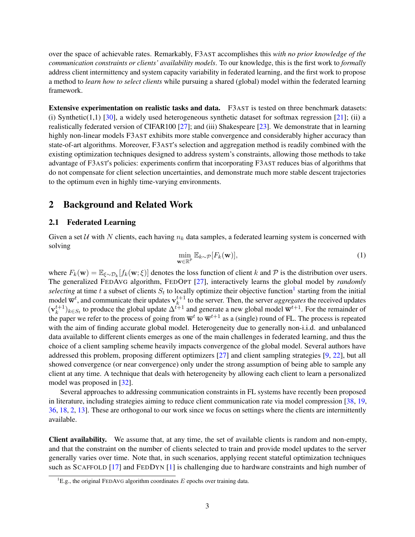over the space of achievable rates. Remarkably, F3AST accomplishes this *with no prior knowledge of the communication constraints or clients' availability models*. To our knowledge, this is the first work to *formally* address client intermittency and system capacity variability in federated learning, and the first work to propose a method to *learn how to select clients* while pursuing a shared (global) model within the federated learning framework.

Extensive experimentation on realistic tasks and data. F3AST is tested on three benchmark datasets: (i) Synthetic(1,1) [\[30\]](#page-13-7), a widely used heterogeneous synthetic dataset for softmax regression [\[21\]](#page-13-3); (ii) a realistically federated version of CIFAR100 [\[27\]](#page-13-2); and (iii) Shakespeare [\[23\]](#page-13-0). We demonstrate that in learning highly non-linear models F3AST exhibits more stable convergence and considerably higher accuracy than state-of-art algorithms. Moreover, F3AST's selection and aggregation method is readily combined with the existing optimization techniques designed to address system's constraints, allowing those methods to take advantage of F3AST's policies: experiments confirm that incorporating F3AST reduces bias of algorithms that do not compensate for client selection uncertainties, and demonstrate much more stable descent trajectories to the optimum even in highly time-varying environments.

# 2 Background and Related Work

### 2.1 Federated Learning

<span id="page-2-1"></span>Given a set  $U$  with N clients, each having  $n_k$  data samples, a federated learning system is concerned with solving

$$
\min_{\mathbf{w}\in\mathbb{R}^p} \mathbb{E}_{k\sim\mathcal{P}}[F_k(\mathbf{w})],\tag{1}
$$

where  $F_k(\mathbf{w}) = \mathbb{E}_{\xi \sim \mathcal{D}_k}[f_k(\mathbf{w}; \xi)]$  denotes the loss function of client k and P is the distribution over users. The generalized FEDAVG algorithm, FEDOPT [\[27\]](#page-13-2), interactively learns the global model by *randomly* selecting at time t a subset of clients  $S_t$  to locally optimize their objective function<sup>[1](#page-2-0)</sup> starting from the initial model  $\overline{\mathbf{w}}^t$ , and communicate their updates  $\mathbf{v}_k^{t+1}$  $\frac{t+1}{k}$  to the server. Then, the server *aggregates* the received updates  $(\mathbf{v}_k^{t+1}$  $(k+1)_{k \in S_t}$  to produce the global update  $\Delta^{t+1}$  and generate a new global model  $\overline{\mathbf{w}}^{t+1}$ . For the remainder of the paper we refer to the process of going from  $\overline{w}^t$  to  $\overline{w}^{t+1}$  as a (single) round of FL. The process is repeated with the aim of finding accurate global model. Heterogeneity due to generally non-i.i.d. and unbalanced data available to different clients emerges as one of the main challenges in federated learning, and thus the choice of a client sampling scheme heavily impacts convergence of the global model. Several authors have addressed this problem, proposing different optimizers [\[27\]](#page-13-2) and client sampling strategies [\[9,](#page-12-3) [22\]](#page-13-5), but all showed convergence (or near convergence) only under the strong assumption of being able to sample any client at any time. A technique that deals with heterogeneity by allowing each client to learn a personalized model was proposed in [\[32\]](#page-14-1).

Several approaches to addressing communication constraints in FL systems have recently been proposed in literature, including strategies aiming to reduce client communication rate via model compression [\[38,](#page-14-2) [19,](#page-13-8) [36,](#page-14-3) [18,](#page-13-9) [2,](#page-12-4) [13\]](#page-12-5). These are orthogonal to our work since we focus on settings where the clients are intermittently available.

Client availability. We assume that, at any time, the set of available clients is random and non-empty, and that the constraint on the number of clients selected to train and provide model updates to the server generally varies over time. Note that, in such scenarios, applying recent stateful optimization techniques such as SCAFFOLD [\[17\]](#page-13-1) and FEDDYN [\[1\]](#page-12-0) is challenging due to hardware constraints and high number of

<span id="page-2-0"></span><sup>&</sup>lt;sup>1</sup>E.g., the original FEDAVG algorithm coordinates  $E$  epochs over training data.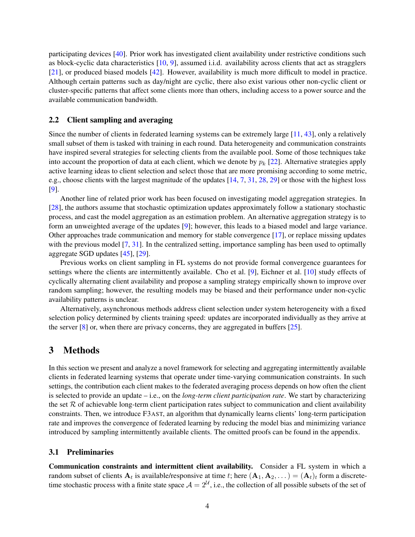participating devices [\[40\]](#page-14-0). Prior work has investigated client availability under restrictive conditions such as block-cyclic data characteristics [\[10,](#page-12-2) [9\]](#page-12-3), assumed i.i.d. availability across clients that act as stragglers [\[21\]](#page-13-3), or produced biased models [\[42\]](#page-14-4). However, availability is much more difficult to model in practice. Although certain patterns such as day/night are cyclic, there also exist various other non-cyclic client or cluster-specific patterns that affect some clients more than others, including access to a power source and the available communication bandwidth.

### 2.2 Client sampling and averaging

Since the number of clients in federated learning systems can be extremely large [\[11,](#page-12-6) [43\]](#page-14-5), only a relatively small subset of them is tasked with training in each round. Data heterogeneity and communication constraints have inspired several strategies for selecting clients from the available pool. Some of those techniques take into account the proportion of data at each client, which we denote by  $p_k$  [\[22\]](#page-13-5). Alternative strategies apply active learning ideas to client selection and select those that are more promising according to some metric, e.g., choose clients with the largest magnitude of the updates [\[14,](#page-12-7) [7,](#page-12-8) [31,](#page-13-10) [28,](#page-13-6) [29\]](#page-13-11) or those with the highest loss [\[9\]](#page-12-3).

Another line of related prior work has been focused on investigating model aggregation strategies. In [\[28\]](#page-13-6), the authors assume that stochastic optimization updates approximately follow a stationary stochastic process, and cast the model aggregation as an estimation problem. An alternative aggregation strategy is to form an unweighted average of the updates [\[9\]](#page-12-3); however, this leads to a biased model and large variance. Other approaches trade communication and memory for stable convergence [\[17\]](#page-13-1), or replace missing updates with the previous model  $[7, 31]$  $[7, 31]$  $[7, 31]$ . In the centralized setting, importance sampling has been used to optimally aggregate SGD updates [\[45\]](#page-14-6), [\[29\]](#page-13-11).

Previous works on client sampling in FL systems do not provide formal convergence guarantees for settings where the clients are intermittently available. Cho et al. [\[9\]](#page-12-3), Eichner et al. [\[10\]](#page-12-2) study effects of cyclically alternating client availability and propose a sampling strategy empirically shown to improve over random sampling; however, the resulting models may be biased and their performance under non-cyclic availability patterns is unclear.

Alternatively, asynchronous methods address client selection under system heterogeneity with a fixed selection policy determined by clients training speed: updates are incorporated individually as they arrive at the server [\[8\]](#page-12-9) or, when there are privacy concerns, they are aggregated in buffers [\[25\]](#page-13-12).

## <span id="page-3-0"></span>3 Methods

In this section we present and analyze a novel framework for selecting and aggregating intermittently available clients in federated learning systems that operate under time-varying communication constraints. In such settings, the contribution each client makes to the federated averaging process depends on how often the client is selected to provide an update – i.e., on the *long-term client participation rate*. We start by characterizing the set  $\mathcal R$  of achievable long-term client participation rates subject to communication and client availability constraints. Then, we introduce F3AST, an algorithm that dynamically learns clients' long-term participation rate and improves the convergence of federated learning by reducing the model bias and minimizing variance introduced by sampling intermittently available clients. The omitted proofs can be found in the appendix.

### 3.1 Preliminaries

Communication constraints and intermittent client availability. Consider a FL system in which a random subset of clients  $A_t$  is available/responsive at time t; here  $(A_1, A_2, ...) = (A_t)_t$  form a discretetime stochastic process with a finite state space  $A = 2^U$ , i.e., the collection of all possible subsets of the set of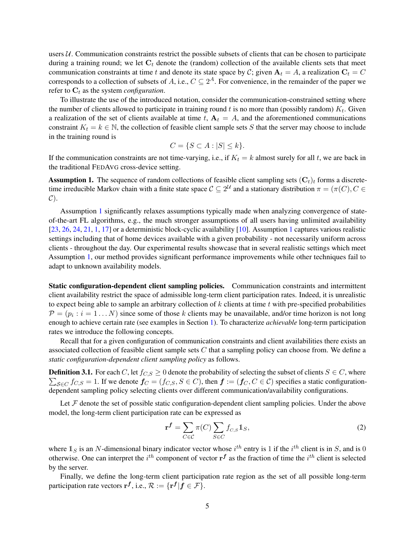users  $U$ . Communication constraints restrict the possible subsets of clients that can be chosen to participate during a training round; we let  $C_t$  denote the (random) collection of the available clients sets that meet communication constraints at time t and denote its state space by C; given  $A_t = A$ , a realization  $C_t = C$ corresponds to a collection of subsets of A, i.e.,  $C \subseteq 2^A$ . For convenience, in the remainder of the paper we refer to  $C_t$  as the system *configuration*.

To illustrate the use of the introduced notation, consider the communication-constrained setting where the number of clients allowed to participate in training round  $t$  is no more than (possibly random)  $K_t$ . Given a realization of the set of clients available at time t,  $A_t = A$ , and the aforementioned communications constraint  $K_t = k \in \mathbb{N}$ , the collection of feasible client sample sets S that the server may choose to include in the training round is

$$
C = \{ S \subset A : |S| \le k \}.
$$

If the communication constraints are not time-varying, i.e., if  $K_t = k$  almost surely for all t, we are back in the traditional FEDAVG cross-device setting.

<span id="page-4-0"></span>**Assumption 1.** The sequence of random collections of feasible client sampling sets  $(C_t)_t$  forms a discretetime irreducible Markov chain with a finite state space  $C \subseteq 2^{\mathcal{U}}$  and a stationary distribution  $\pi = (\pi(C), C \in$  $\mathcal{C}$ ).

Assumption [1](#page-4-0) significantly relaxes assumptions typically made when analyzing convergence of stateof-the-art FL algorithms, e.g., the much stronger assumptions of all users having unlimited availability [\[23,](#page-13-0) [26,](#page-13-13) [24,](#page-13-14) [21,](#page-13-3) [1,](#page-12-0) [17\]](#page-13-1) or a deterministic block-cyclic availability [\[10\]](#page-12-2). Assumption [1](#page-4-0) captures various realistic settings including that of home devices available with a given probability - not necessarily uniform across clients - throughout the day. Our experimental results showcase that in several realistic settings which meet Assumption [1,](#page-4-0) our method provides significant performance improvements while other techniques fail to adapt to unknown availability models.

Static configuration-dependent client sampling policies. Communication constraints and intermittent client availability restrict the space of admissible long-term client participation rates. Indeed, it is unrealistic to expect being able to sample an arbitrary collection of  $k$  clients at time  $t$  with pre-specified probabilities  $\mathcal{P} = (p_i : i = 1 \dots N)$  since some of those k clients may be unavailable, and/or time horizon is not long enough to achieve certain rate (see examples in Section [1\)](#page-0-0). To characterize *achievable* long-term participation rates we introduce the following concepts.

Recall that for a given configuration of communication constraints and client availabilities there exists an associated collection of feasible client sample sets  $C$  that a sampling policy can choose from. We define a *static configuration-dependent client sampling policy* as follows.

**Definition 3.1.** For each C, let  $f_{C,S} \ge 0$  denote the probability of selecting the subset of clients  $S \in C$ , where  $\sum_{S \in C} f_{C,S} = 1$ . If we denote  $f_C = (f_{C,S}, S \in C)$ , then  $f := (f_C, C \in C)$  specifies a static configurationdependent sampling policy selecting clients over different communication/availability configurations.

Let  $F$  denote the set of possible static configuration-dependent client sampling policies. Under the above model, the long-term client participation rate can be expressed as

<span id="page-4-1"></span>
$$
\mathbf{r}^f = \sum_{C \in \mathcal{C}} \pi(C) \sum_{S \in C} f_{C,S} \mathbb{1}_S,\tag{2}
$$

where  $\mathbb{1}_S$  is an N-dimensional binary indicator vector whose  $i^{th}$  entry is 1 if the  $i^{th}$  client is in S, and is 0 otherwise. One can interpret the  $i^{th}$  component of vector  $\mathbf{r}^f$  as the fraction of time the  $i^{th}$  client is selected by the server.

<span id="page-4-2"></span>Finally, we define the long-term client participation rate region as the set of all possible long-term participation rate vectors  $\mathbf{r}^{f}$ , i.e.,  $\mathcal{R} := {\mathbf{r}^{f}} | f \in \mathcal{F}$ .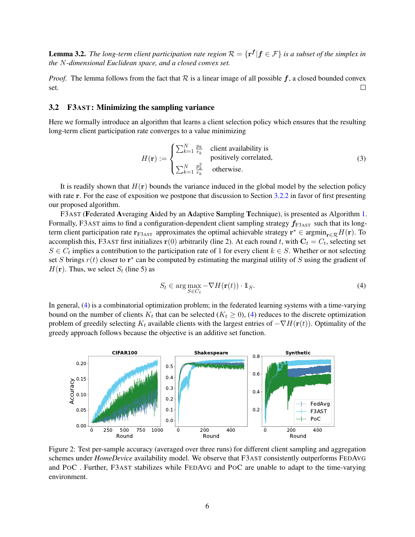**Lemma 3.2.** The long-term client participation rate region  $\mathcal{R} = \{ \mathbf{r}^f | f \in \mathcal{F} \}$  is a subset of the simplex in *the* N*-dimensional Euclidean space, and a closed convex set.*

*Proof.* The lemma follows from the fact that  $R$  is a linear image of all possible  $f$ , a closed bounded convex set.  $\Box$ 

### 3.2 F3AST: Minimizing the sampling variance

Here we formally introduce an algorithm that learns a client selection policy which ensures that the resulting long-term client participation rate converges to a value minimizing

$$
H(\mathbf{r}) := \begin{cases} \sum_{k=1}^{N} \frac{p_k}{r_k} & \text{client availability is} \\ \sum_{k=1}^{N} \frac{p_k^2}{r_k} & \text{otherwise.} \end{cases}
$$
 (3)

It is readily shown that  $H(r)$  bounds the variance induced in the global model by the selection policy with rate r. For the ease of exposition we postpone that discussion to Section [3.2.2](#page-7-1) in favor of first presenting our proposed algorithm.

F3AST (Federated Averaging Aided by an Adaptive Sampling Technique), is presented as Algorithm [1.](#page-6-1) Formally, F3AST aims to find a configuration-dependent client sampling strategy  $f_{F3AST}$  such that its longterm client participation rate  $r_{F3AST}$  approximates the optimal achievable strategy  $r^* \in \text{argmin}_{r \in \mathcal{R}} H(r)$ . To accomplish this, F3AST first initializes  $\mathbf{r}(0)$  arbitrarily (line 2). At each round t, with  $\mathbf{C}_t = C_t$ , selecting set  $S \in C_t$  implies a contribution to the participation rate of 1 for every client  $k \in S$ . Whether or not selecting set S brings  $r(t)$  closer to  $r^*$  can be computed by estimating the marginal utility of S using the gradient of  $H(\mathbf{r})$ . Thus, we select  $S_t$  (line 5) as

<span id="page-5-0"></span>
$$
S_t \in \arg\max_{S \in C_t} -\nabla H(\mathbf{r}(t)) \cdot \mathbb{1}_S. \tag{4}
$$

In general, [\(4\)](#page-5-0) is a combinatorial optimization problem; in the federated learning systems with a time-varying bound on the number of clients  $K_t$  that can be selected ( $K_t \ge 0$ ), [\(4\)](#page-5-0) reduces to the discrete optimization problem of greedily selecting K<sub>t</sub> available clients with the largest entries of  $-\nabla H(\mathbf{r}(t))$ . Optimality of the greedy approach follows because the objective is an additive set function.

<span id="page-5-1"></span>

Figure 2: Test per-sample accuracy (averaged over three runs) for different client sampling and aggregation schemes under *HomeDevice* availability model. We observe that F3AST consistently outperforms FEDAVG and POC . Further, F3AST stabilizes while FEDAVG and POC are unable to adapt to the time-varying environment.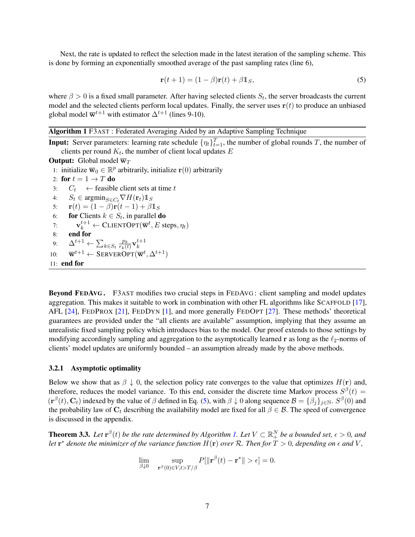Next, the rate is updated to reflect the selection made in the latest iteration of the sampling scheme. This is done by forming an exponentially smoothed average of the past sampling rates (line 6),

<span id="page-6-2"></span>
$$
\mathbf{r}(t+1) = (1 - \beta)\mathbf{r}(t) + \beta \mathbb{1}_S,\tag{5}
$$

where  $\beta > 0$  is a fixed small parameter. After having selected clients  $S_t$ , the server broadcasts the current model and the selected clients perform local updates. Finally, the server uses  $r(t)$  to produce an unbiased global model  $\overline{\mathbf{w}}^{t+1}$  with estimator  $\Delta^{t+1}$  (lines 9-10).

## <span id="page-6-1"></span>Algorithm 1 F3AST : Federated Averaging Aided by an Adaptive Sampling Technique

**Input:** Server parameters: learning rate schedule  $\{\eta_t\}_{t=1}^T$ , the number of global rounds T, the number of clients per round  $K_t$ , the number of client local updates  $E$ 

```
Output: Global model \overline{w}_T
```

```
1: initialize \overline{\mathbf{w}}_0 \in \mathbb{R}^p arbitrarily, initialize \mathbf{r}(0) arbitrarily
```

```
2: for t = 1 \rightarrow T do
```

```
3: C_t \leftarrow feasible client sets at time t
```

```
4: S_t \in \operatorname{argmin}_{S \in C_t} \nabla H(\mathbf{r}_t) \mathbb{1}_S
```

```
5: \mathbf{r}(t) = (1 - \beta)\mathbf{r}(t - 1) + \beta \mathbf{1}_S
```

```
6: for Clients k \in S_t, in parallel do
```

```
7: \mathbf{v}_k^{t+1} \leftarrow \text{CLIENTOPT}(\overline{\mathbf{w}}^t, E \text{ steps}, \eta_t)
```

```
8: end for
```

```
9: \Delta^{t+1} \leftarrow \sum_{k \in S_t} \frac{p_k}{r_k(t)}\frac{p_k}{r_k(t)}\mathbf{v}_k^{t+1}k
```

```
10: \overline{\mathbf{w}}^{t+1} \leftarrow \text{SERVEROPT}(\overline{\mathbf{w}}^t, \Delta^{t+1})
```

```
11: end for
```
Beyond FEDAVG . F3AST modifies two crucial steps in FEDAVG : client sampling and model updates aggregation. This makes it suitable to work in combination with other FL algorithms like SCAFFOLD [\[17\]](#page-13-1), AFL [\[24\]](#page-13-14), FEDPROX [\[21\]](#page-13-3), FEDDYN [\[1\]](#page-12-0), and more generally FEDOPT [\[27\]](#page-13-2). These methods' theoretical guarantees are provided under the "all clients are available" assumption, implying that they assume an unrealistic fixed sampling policy which introduces bias to the model. Our proof extends to those settings by modifying accordingly sampling and aggregation to the asymptotically learned r as long as the  $\ell_2$ -norms of clients' model updates are uniformly bounded – an assumption already made by the above methods.

### 3.2.1 Asymptotic optimality

Below we show that as  $\beta \downarrow 0$ , the selection policy rate converges to the value that optimizes  $H(\mathbf{r})$  and, therefore, reduces the model variance. To this end, consider the discrete time Markov process  $S^{\beta}(t)$  =  $(\mathbf{r}^{\beta}(t), \mathbf{C}_t)$  indexed by the value of  $\beta$  defined in Eq. [\(5\)](#page-6-2), with  $\beta \downarrow 0$  along sequence  $\mathcal{B} = {\beta_j}_{j \in \mathbb{N}}$ .  $S^{\beta}(0)$  and the probability law of  $C_t$  describing the availability model are fixed for all  $\beta \in \mathcal{B}$ . The speed of convergence is discussed in the appendix.

<span id="page-6-0"></span>**Theorem 3.3.** Let  $\mathbf{r}^{\beta}(t)$  be the rate determined by Algorithm [1.](#page-6-1) Let  $V \subset \mathbb{R}^N_+$  be a bounded set,  $\epsilon > 0$ , and *let*  $\mathbf{r}^*$  denote the minimizer of the variance function  $H(\mathbf{r})$  over R. Then for  $T > 0$ , depending on  $\epsilon$  and V,

$$
\lim_{\beta \downarrow 0} \quad \sup_{\mathbf{r}^{\beta}(0) \in V, t > T/\beta} P[\|\mathbf{r}^{\beta}(t) - \mathbf{r}^*\| > \epsilon] = 0.
$$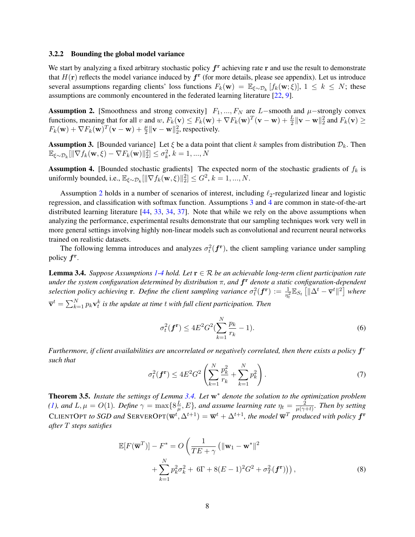#### <span id="page-7-1"></span>3.2.2 Bounding the global model variance

We start by analyzing a fixed arbitrary stochastic policy  $f<sup>r</sup>$  achieving rate r and use the result to demonstrate that  $H(\mathbf{r})$  reflects the model variance induced by  $f^{\mathbf{r}}$  (for more details, please see appendix). Let us introduce several assumptions regarding clients' loss functions  $F_k(\mathbf{w}) = \mathbb{E}_{\xi \sim \mathcal{D}_k}[f_k(\mathbf{w}; \xi)], 1 \leq k \leq N$ ; these assumptions are commonly encountered in the federated learning literature [\[22,](#page-13-5) [9\]](#page-12-3).

<span id="page-7-2"></span>**Assumption 2.** [Smoothness and strong convexity]  $F_1, ..., F_N$  are L–smooth and  $\mu$ –strongly convex functions, meaning that for all v and w,  $F_k(\mathbf{v}) \le F_k(\mathbf{w}) + \nabla F_k(\mathbf{w})^T(\mathbf{v} - \mathbf{w}) + \frac{L}{2} ||\mathbf{v} - \mathbf{w}||_2^2$  and  $F_k(\mathbf{v}) \ge$  $F_k(\mathbf{w}) + \nabla F_k(\mathbf{w})^T(\mathbf{v} - \mathbf{w}) + \frac{\mu}{2} ||\mathbf{v} - \mathbf{w}||_2^2$ , respectively.

<span id="page-7-3"></span>**Assumption 3.** [Bounded variance] Let  $\xi$  be a data point that client k samples from distribution  $\mathcal{D}_k$ . Then  $\mathbb{E}_{\xi \sim \mathcal{D}_k} [\|\nabla f_k(\mathbf{w}, \xi) - \nabla F_k(\mathbf{w})\|_2^2] \leq \sigma_k^2, k = 1, ..., N$ 

<span id="page-7-4"></span>**Assumption 4.** [Bounded stochastic gradients] The expected norm of the stochastic gradients of  $f_k$  is uniformly bounded, i.e.,  $\mathbb{E}_{\xi \sim \mathcal{D}_k} [\|\nabla f_k(\mathbf{w}, \xi)\|_2^2] \leq G^2$ ,  $k = 1, ..., N$ .

Assumption [2](#page-7-2) holds in a number of scenarios of interest, including  $\ell_2$ -regularized linear and logistic regression, and classification with softmax function. Assumptions [3](#page-7-3) and [4](#page-7-4) are common in state-of-the-art distributed learning literature [\[44,](#page-14-7) [33,](#page-14-8) [34,](#page-14-9) [37\]](#page-14-10). Note that while we rely on the above assumptions when analyzing the performance, experimental results demonstrate that our sampling techniques work very well in more general settings involving highly non-linear models such as convolutional and recurrent neural networks trained on realistic datasets.

The following lemma introduces and analyzes  $\sigma_t^2(f^{\{r\}})$ , the client sampling variance under sampling policy  $f^{\rm r}$ .

<span id="page-7-5"></span>**Lemma 3.4.** *Suppose Assumptions* [1](#page-4-0)[-4](#page-7-4) *hold.* Let  $\mathbf{r} \in \mathcal{R}$  *be an achievable long-term client participation rate under the system configuration determined by distribution* π*, and* f <sup>r</sup> *denote a static configuration-dependent selection policy achieving* **r**. Define the client sampling variance  $\sigma_t^2(\mathbf{f}^{\mathbf{r}}) := \frac{1}{\eta_t^2} \mathbb{E}_{S_t} [\|\Delta^t - \overline{\mathbf{v}}^t\|^2]$  where  $\overline{\mathbf{v}}^t = \sum_{k=1}^N p_k \mathbf{v}_t^k$  is the update at time  $t$  with full client participation. Then

$$
\sigma_t^2(\mathbf{f}^{\mathbf{r}}) \le 4E^2 G^2 (\sum_{k=1}^N \frac{p_k}{r_k} - 1).
$$
 (6)

Furthermore, if client availabilities are uncorrelated or negatively correlated, then there exists a policy  $f^r$ *such that*

<span id="page-7-6"></span>
$$
\sigma_t^2(\mathbf{f}^{\mathbf{r}}) \le 4E^2 G^2 \left( \sum_{k=1}^N \frac{p_k^2}{r_k} + \sum_{k=1}^N p_k^2 \right). \tag{7}
$$

<span id="page-7-0"></span>Theorem 3.5. *Instate the settings of Lemma [3.4.](#page-7-5) Let* w<sup>∗</sup> *denote the solution to the optimization problem [\(1\)](#page-2-1), and*  $L, \mu = O(1)$ *. Define*  $\gamma = \max\{8\frac{L}{\mu}\}$  $\frac{L}{\mu}, E$ }, and assume learning rate  $\eta_t = \frac{2}{\mu(\gamma - 1)}$  $\frac{2}{\mu(\gamma+t)}$ . Then by setting CLIENTOPT to SGD and SERVEROPT $(\overline{w}^t, \Delta^{t+1}) = \overline{w}^t + \Delta^{t+1}$ , the model  $\overline{w}^T$  produced with policy  $f^r$ *after* T *steps satisfies*

$$
\mathbb{E}[F(\overline{\mathbf{w}}^T)] - F^* = O\left(\frac{1}{TE + \gamma} \left(\|\mathbf{w}_1 - \mathbf{w}^*\|^2 + \sum_{k=1}^N p_k^2 \sigma_k^2 + 6\Gamma + 8(E - 1)^2 G^2 + \sigma_T^2(\mathbf{f}^r)\right)\right),\tag{8}
$$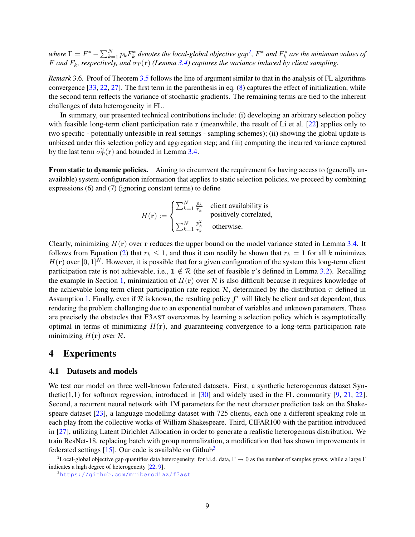where  $\Gamma = F^* - \sum_{k=1}^N p_k F_k^*$  denotes the local-global objective gap<sup>[2](#page-8-0)</sup>,  $F^*$  and  $F_k^*$  are the minimum values of F and  $F_k$ , respectively, and  $\sigma_T(\mathbf{r})$  (Lemma [3.4\)](#page-7-5) captures the variance induced by client sampling.

*Remark* 3.6*.* Proof of Theorem [3.5](#page-7-0) follows the line of argument similar to that in the analysis of FL algorithms convergence [\[33,](#page-14-8) [22,](#page-13-5) [27\]](#page-13-2). The first term in the parenthesis in eq. [\(8\)](#page-7-6) captures the effect of initialization, while the second term reflects the variance of stochastic gradients. The remaining terms are tied to the inherent challenges of data heterogeneity in FL.

In summary, our presented technical contributions include: (i) developing an arbitrary selection policy with feasible long-term client participation rate r (meanwhile, the result of Li et al. [\[22\]](#page-13-5) applies only to two specific - potentially unfeasible in real settings - sampling schemes); (ii) showing the global update is unbiased under this selection policy and aggregation step; and (iii) computing the incurred variance captured by the last term  $\sigma_T^2(\mathbf{r})$  and bounded in Lemma [3.4.](#page-7-5)

From static to dynamic policies. Aiming to circumvent the requirement for having access to (generally unavailable) system configuration information that applies to static selection policies, we proceed by combining expressions (6) and (7) (ignoring constant terms) to define

$$
H(\mathbf{r}) := \begin{cases} \sum_{k=1}^{N} \frac{p_k}{r_k} & \text{client availability is} \\ \sum_{k=1}^{N} \frac{p_k^2}{r_k} & \text{otherwise.} \end{cases}
$$

Clearly, minimizing  $H(r)$  over r reduces the upper bound on the model variance stated in Lemma [3.4.](#page-7-5) It follows from Equation [\(2\)](#page-4-1) that  $r_k \leq 1$ , and thus it can readily be shown that  $r_k = 1$  for all k minimizes  $H(\mathbf{r})$  over [0, 1]<sup>N</sup>. However, it is possible that for a given configuration of the system this long-term client participation rate is not achievable, i.e.,  $1 \notin \mathcal{R}$  (the set of feasible r's defined in Lemma [3.2\)](#page-4-2). Recalling the example in Section [1,](#page-0-0) minimization of  $H(\mathbf{r})$  over  $\mathcal R$  is also difficult because it requires knowledge of the achievable long-term client participation rate region  $\mathcal{R}$ , determined by the distribution  $\pi$  defined in Assumption [1.](#page-4-0) Finally, even if  $R$  is known, the resulting policy  $f^r$  will likely be client and set dependent, thus rendering the problem challenging due to an exponential number of variables and unknown parameters. These are precisely the obstacles that F3AST overcomes by learning a selection policy which is asymptotically optimal in terms of minimizing  $H(r)$ , and guaranteeing convergence to a long-term participation rate minimizing  $H(\mathbf{r})$  over  $\mathcal{R}$ .

### <span id="page-8-3"></span>4 Experiments

### <span id="page-8-2"></span>4.1 Datasets and models

We test our model on three well-known federated datasets. First, a synthetic heterogenous dataset Synthetic(1,1) for softmax regression, introduced in  $[30]$  and widely used in the FL community  $[9, 21, 22]$  $[9, 21, 22]$  $[9, 21, 22]$  $[9, 21, 22]$  $[9, 21, 22]$ . Second, a recurrent neural network with 1M parameters for the next character prediction task on the Shakespeare dataset [\[23\]](#page-13-0), a language modelling dataset with 725 clients, each one a different speaking role in each play from the collective works of William Shakespeare. Third, CIFAR100 with the partition introduced in [\[27\]](#page-13-2), utilizing Latent Dirichlet Allocation in order to generate a realistic heterogenous distribution. We train ResNet-18, replacing batch with group normalization, a modification that has shown improvements in federated settings  $[15]$ . Our code is available on Github<sup>[3](#page-8-1)</sup>

<span id="page-8-0"></span><sup>&</sup>lt;sup>2</sup>Local-global objective gap quantifies data heterogeneity: for i.i.d. data,  $\Gamma \to 0$  as the number of samples grows, while a large  $\Gamma$ indicates a high degree of heterogeneity [\[22,](#page-13-5) [9\]](#page-12-3).

<span id="page-8-1"></span><sup>3</sup><https://github.com/mriberodiaz/f3ast>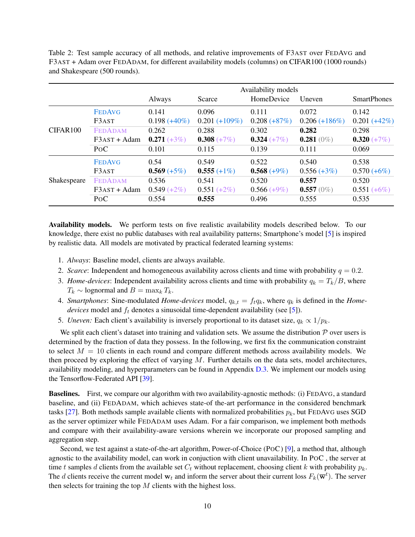<span id="page-9-0"></span>Table 2: Test sample accuracy of all methods, and relative improvements of F3AST over FEDAVG and F3AST + Adam over FEDADAM, for different availability models (columns) on CIFAR100 (1000 rounds) and Shakespeare (500 rounds).

|             |                  |                 |                 | Availability models |                 |                    |
|-------------|------------------|-----------------|-----------------|---------------------|-----------------|--------------------|
|             |                  | Always          | Scarce          | HomeDevice          | Uneven          | <b>SmartPhones</b> |
|             | <b>FEDAVG</b>    | 0.141           | 0.096           | 0.111               | 0.072           | 0.142              |
|             | F3AST            | $0.198 (+40\%)$ | $0.201 (+109%)$ | $0.208 (+87%)$      | $0.206 (+186%)$ | $0.201 (+42%)$     |
| CIFAR100    | <b>FEDADAM</b>   | 0.262           | 0.288           | 0.302               | 0.282           | 0.298              |
|             | $F3AST + Adam$   | $0.271 (+3%)$   | $0.308 (+7%)$   | $0.324 (+7%)$       | $0.281(0\%)$    | $0.320 (+7%)$      |
|             | P <sub>O</sub> C | 0.101           | 0.115           | 0.139               | 0.111           | 0.069              |
|             | <b>FEDAVG</b>    | 0.54            | 0.549           | 0.522               | 0.540           | 0.538              |
|             | F3AST            | $0.569 (+5%)$   | $0.555 (+1\%)$  | $0.568 (+9%)$       | $0.556 (+3%)$   | $0.570 (+6%)$      |
| Shakespeare | <b>FEDADAM</b>   | 0.536           | 0.541           | 0.520               | 0.557           | 0.520              |
|             | $F3AST + Adam$   | $0.549 (+2\%)$  | $0.551 (+2%)$   | $0.566 (+9\%)$      | $0.557(0\%)$    | $0.551 (+6%)$      |
|             | P <sub>O</sub> C | 0.554           | 0.555           | 0.496               | 0.555           | 0.535              |

Availability models. We perform tests on five realistic availability models described below. To our knowledge, there exist no public databases with real availability patterns; Smartphone's model [\[5\]](#page-12-1) is inspired by realistic data. All models are motivated by practical federated learning systems:

- 1. *Always*: Baseline model, clients are always available.
- 2. *Scarce*: Independent and homogeneous availability across clients and time with probability  $q = 0.2$ .
- 3. *Home-devices*: Independent availability across clients and time with probability  $q_k = T_k/B$ , where  $T_k \sim$  lognormal and  $B = \max_k T_k$ .
- 4. *Smartphones*: Sine-modulated *Home-devices* model,  $q_{k,t} = f_t q_k$ , where  $q_k$  is defined in the *Homedevices* model and  $f_t$  denotes a sinusoidal time-dependent availability (see [\[5\]](#page-12-1)).
- 5. *Uneven:* Each client's availability is inversely proportional to its dataset size,  $q_k \propto 1/p_k$ .

We split each client's dataset into training and validation sets. We assume the distribution  $P$  over users is determined by the fraction of data they possess. In the following, we first fix the communication constraint to select  $M = 10$  clients in each round and compare different methods across availability models. We then proceed by exploring the effect of varying  $M$ . Further details on the data sets, model architectures, availability modeling, and hyperparameters can be found in Appendix [D.3.](#page-23-0) We implement our models using the Tensorflow-Federated API [\[39\]](#page-14-11).

Baselines. First, we compare our algorithm with two availability-agnostic methods: (i) FEDAVG, a standard baseline, and (ii) FEDADAM, which achieves state-of the-art performance in the considered benchmark tasks [\[27\]](#page-13-2). Both methods sample available clients with normalized probabilities  $p_k$ , but FEDAVG uses SGD as the server optimizer while FEDADAM uses Adam. For a fair comparison, we implement both methods and compare with their availability-aware versions wherein we incorporate our proposed sampling and aggregation step.

Second, we test against a state-of-the-art algorithm, Power-of-Choice (POC) [\[9\]](#page-12-3), a method that, although agnostic to the availability model, can work in conjuction with client unavailability. In POC , the server at time t samples d clients from the available set  $C_t$  without replacement, choosing client k with probability  $p_k$ . The d clients receive the current model  $w_t$  and inform the server about their current loss  $F_k(\overline{w}^t)$ . The server then selects for training the top  $M$  clients with the highest loss.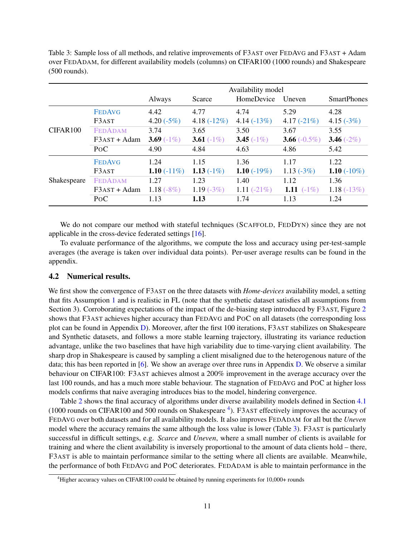<span id="page-10-1"></span>Table 3: Sample loss of all methods, and relative improvements of F3AST over FEDAVG and F3AST + Adam over FEDADAM, for different availability models (columns) on CIFAR100 (1000 rounds) and Shakespeare (500 rounds).

|                      |                  | Availability model |                |                |                 |                    |
|----------------------|------------------|--------------------|----------------|----------------|-----------------|--------------------|
|                      |                  | Always             | Scarce         | HomeDevice     | Uneven          | <b>SmartPhones</b> |
|                      | <b>FEDAVG</b>    | 4.42               | 4.77           | 4.74           | 5.29            | 4.28               |
|                      | F3AST            | 4.20 $(-5%)$       | 4.18 $(-12\%)$ | $4.14(-13%)$   | 4.17 $(-21\%)$  | 4.15 $(-3%)$       |
| CIFAR <sub>100</sub> | <b>FEDADAM</b>   | 3.74               | 3.65           | 3.50           | 3.67            | 3.55               |
|                      | $F3AST + Adam$   | 3.69 $(-1\%)$      | 3.61 $(-1\%)$  | 3.45 $(-1\%)$  | 3.66 $(-0.5\%)$ | 3.46 $(-2%)$       |
|                      | P <sub>O</sub> C | 4.90               | 4.84           | 4.63           | 4.86            | 5.42               |
|                      | <b>FEDAVG</b>    | 1.24               | 1.15           | 1.36           | 1.17            | 1.22               |
|                      | F3AST            | 1.10 $(-11\%)$     | 1.13 $(-1\%)$  | 1.10 $(-19%)$  | $1.13(-3%)$     | 1.10 $(-10\%)$     |
| Shakespeare          | <b>FEDADAM</b>   | 1.27               | 1.23           | 1.40           | 1.12            | 1.36               |
|                      | $F3AST + Adam$   | 1.18 $(-8%)$       | $1.19(-3%)$    | 1.11 $(-21\%)$ | 1.11 $(-1\%)$   | $1.18(-13%)$       |
|                      | P <sub>O</sub> C | 1.13               | 1.13           | 1.74           | 1.13            | 1.24               |

We do not compare our method with stateful techniques (SCAFFOLD, FEDDYN) since they are not applicable in the cross-device federated settings [\[16\]](#page-13-4).

To evaluate performance of the algorithms, we compute the loss and accuracy using per-test-sample averages (the average is taken over individual data points). Per-user average results can be found in the appendix.

### 4.2 Numerical results.

We first show the convergence of F3AST on the three datasets with *Home-devices* availability model, a setting that fits Assumption [1](#page-4-0) and is realistic in FL (note that the synthetic dataset satisfies all assumptions from Section 3). Corroborating expectations of the impact of the de-biasing step introduced by F3AST, Figure [2](#page-5-1) shows that F3AST achieves higher accuracy than FEDAVG and POC on all datasets (the corresponding loss plot can be found in Appendix [D\)](#page-23-1). Moreover, after the first 100 iterations, F3AST stabilizes on Shakespeare and Synthetic datasets, and follows a more stable learning trajectory, illustrating its variance reduction advantage, unlike the two baselines that have high variability due to time-varying client availability. The sharp drop in Shakespeare is caused by sampling a client misaligned due to the heterogenous nature of the data; this has been reported in [\[6\]](#page-12-11). We show an average over three runs in Appendix [D.](#page-23-1) We observe a similar behaviour on CIFAR100: F3AST achieves almost a 200% improvement in the average accuracy over the last 100 rounds, and has a much more stable behaviour. The stagnation of FEDAVG and POC at higher loss models confirms that naive averaging introduces bias to the model, hindering convergence.

Table [2](#page-9-0) shows the final accuracy of algorithms under diverse availability models defined in Section [4.1](#page-8-2) (1000 rounds on CIFAR100 and 500 rounds on Shakespeare<sup>[4](#page-10-0)</sup>). F3AST effectively improves the accuracy of FEDAVG over both datasets and for all availability models. It also improves FEDADAM for all but the *Uneven* model where the accuracy remains the same although the loss value is lower (Table [3\)](#page-10-1). F3AST is particularly successful in difficult settings, e.g. *Scarce* and *Uneven*, where a small number of clients is available for training and where the client availability is inversely proportional to the amount of data clients hold – there, F3AST is able to maintain performance similar to the setting where all clients are available. Meanwhile, the performance of both FEDAVG and POC deteriorates. FEDADAM is able to maintain performance in the

<span id="page-10-0"></span><sup>4</sup>Higher accuracy values on CIFAR100 could be obtained by running experiments for 10,000+ rounds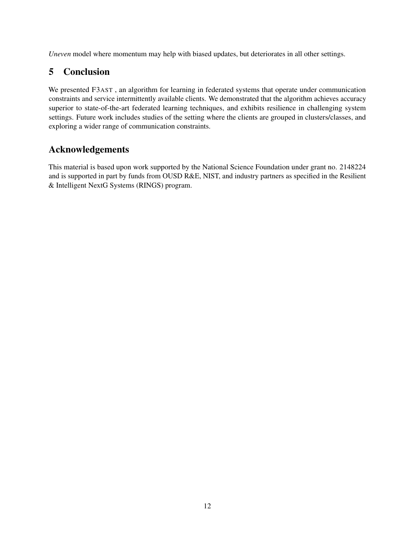*Uneven* model where momentum may help with biased updates, but deteriorates in all other settings.

# 5 Conclusion

We presented F3AST , an algorithm for learning in federated systems that operate under communication constraints and service intermittently available clients. We demonstrated that the algorithm achieves accuracy superior to state-of-the-art federated learning techniques, and exhibits resilience in challenging system settings. Future work includes studies of the setting where the clients are grouped in clusters/classes, and exploring a wider range of communication constraints.

# Acknowledgements

This material is based upon work supported by the National Science Foundation under grant no. 2148224 and is supported in part by funds from OUSD R&E, NIST, and industry partners as specified in the Resilient & Intelligent NextG Systems (RINGS) program.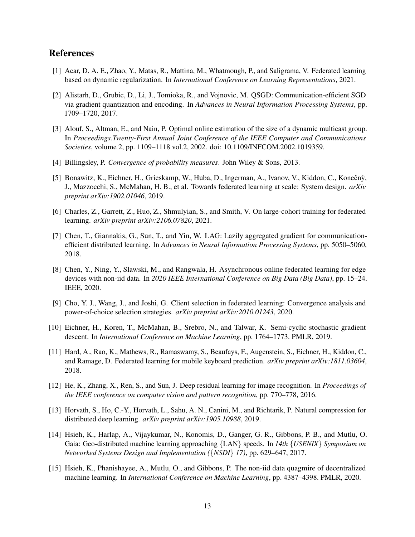# References

- <span id="page-12-0"></span>[1] Acar, D. A. E., Zhao, Y., Matas, R., Mattina, M., Whatmough, P., and Saligrama, V. Federated learning based on dynamic regularization. In *International Conference on Learning Representations*, 2021.
- <span id="page-12-4"></span>[2] Alistarh, D., Grubic, D., Li, J., Tomioka, R., and Vojnovic, M. QSGD: Communication-efficient SGD via gradient quantization and encoding. In *Advances in Neural Information Processing Systems*, pp. 1709–1720, 2017.
- <span id="page-12-12"></span>[3] Alouf, S., Altman, E., and Nain, P. Optimal online estimation of the size of a dynamic multicast group. In *Proceedings.Twenty-First Annual Joint Conference of the IEEE Computer and Communications Societies*, volume 2, pp. 1109–1118 vol.2, 2002. doi: 10.1109/INFCOM.2002.1019359.
- <span id="page-12-13"></span>[4] Billingsley, P. *Convergence of probability measures*. John Wiley & Sons, 2013.
- <span id="page-12-1"></span>[5] Bonawitz, K., Eichner, H., Grieskamp, W., Huba, D., Ingerman, A., Ivanov, V., Kiddon, C., Konečný, J., Mazzocchi, S., McMahan, H. B., et al. Towards federated learning at scale: System design. *arXiv preprint arXiv:1902.01046*, 2019.
- <span id="page-12-11"></span>[6] Charles, Z., Garrett, Z., Huo, Z., Shmulyian, S., and Smith, V. On large-cohort training for federated learning. *arXiv preprint arXiv:2106.07820*, 2021.
- <span id="page-12-8"></span>[7] Chen, T., Giannakis, G., Sun, T., and Yin, W. LAG: Lazily aggregated gradient for communicationefficient distributed learning. In *Advances in Neural Information Processing Systems*, pp. 5050–5060, 2018.
- <span id="page-12-9"></span>[8] Chen, Y., Ning, Y., Slawski, M., and Rangwala, H. Asynchronous online federated learning for edge devices with non-iid data. In *2020 IEEE International Conference on Big Data (Big Data)*, pp. 15–24. IEEE, 2020.
- <span id="page-12-3"></span>[9] Cho, Y. J., Wang, J., and Joshi, G. Client selection in federated learning: Convergence analysis and power-of-choice selection strategies. *arXiv preprint arXiv:2010.01243*, 2020.
- <span id="page-12-2"></span>[10] Eichner, H., Koren, T., McMahan, B., Srebro, N., and Talwar, K. Semi-cyclic stochastic gradient descent. In *International Conference on Machine Learning*, pp. 1764–1773. PMLR, 2019.
- <span id="page-12-6"></span>[11] Hard, A., Rao, K., Mathews, R., Ramaswamy, S., Beaufays, F., Augenstein, S., Eichner, H., Kiddon, C., and Ramage, D. Federated learning for mobile keyboard prediction. *arXiv preprint arXiv:1811.03604*, 2018.
- <span id="page-12-14"></span>[12] He, K., Zhang, X., Ren, S., and Sun, J. Deep residual learning for image recognition. In *Proceedings of the IEEE conference on computer vision and pattern recognition*, pp. 770–778, 2016.
- <span id="page-12-5"></span>[13] Horvath, S., Ho, C.-Y., Horvath, L., Sahu, A. N., Canini, M., and Richtarik, P. Natural compression for distributed deep learning. *arXiv preprint arXiv:1905.10988*, 2019.
- <span id="page-12-7"></span>[14] Hsieh, K., Harlap, A., Vijaykumar, N., Konomis, D., Ganger, G. R., Gibbons, P. B., and Mutlu, O. Gaia: Geo-distributed machine learning approaching {LAN} speeds. In *14th* {*USENIX*} *Symposium on Networked Systems Design and Implementation (*{*NSDI*} *17)*, pp. 629–647, 2017.
- <span id="page-12-10"></span>[15] Hsieh, K., Phanishayee, A., Mutlu, O., and Gibbons, P. The non-iid data quagmire of decentralized machine learning. In *International Conference on Machine Learning*, pp. 4387–4398. PMLR, 2020.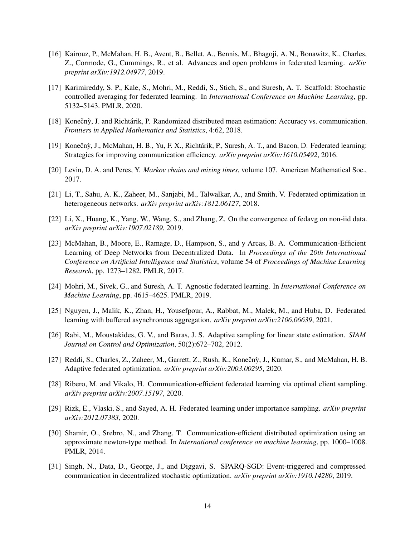- <span id="page-13-4"></span>[16] Kairouz, P., McMahan, H. B., Avent, B., Bellet, A., Bennis, M., Bhagoji, A. N., Bonawitz, K., Charles, Z., Cormode, G., Cummings, R., et al. Advances and open problems in federated learning. *arXiv preprint arXiv:1912.04977*, 2019.
- <span id="page-13-1"></span>[17] Karimireddy, S. P., Kale, S., Mohri, M., Reddi, S., Stich, S., and Suresh, A. T. Scaffold: Stochastic controlled averaging for federated learning. In *International Conference on Machine Learning*, pp. 5132–5143. PMLR, 2020.
- <span id="page-13-9"></span>[18] Konečný, J. and Richtárik, P. Randomized distributed mean estimation: Accuracy vs. communication. *Frontiers in Applied Mathematics and Statistics*, 4:62, 2018.
- <span id="page-13-8"></span>[19] Konečnỳ, J., McMahan, H. B., Yu, F. X., Richtárik, P., Suresh, A. T., and Bacon, D. Federated learning: Strategies for improving communication efficiency. *arXiv preprint arXiv:1610.05492*, 2016.
- <span id="page-13-15"></span>[20] Levin, D. A. and Peres, Y. *Markov chains and mixing times*, volume 107. American Mathematical Soc., 2017.
- <span id="page-13-3"></span>[21] Li, T., Sahu, A. K., Zaheer, M., Sanjabi, M., Talwalkar, A., and Smith, V. Federated optimization in heterogeneous networks. *arXiv preprint arXiv:1812.06127*, 2018.
- <span id="page-13-5"></span>[22] Li, X., Huang, K., Yang, W., Wang, S., and Zhang, Z. On the convergence of fedavg on non-iid data. *arXiv preprint arXiv:1907.02189*, 2019.
- <span id="page-13-0"></span>[23] McMahan, B., Moore, E., Ramage, D., Hampson, S., and y Arcas, B. A. Communication-Efficient Learning of Deep Networks from Decentralized Data. In *Proceedings of the 20th International Conference on Artificial Intelligence and Statistics*, volume 54 of *Proceedings of Machine Learning Research*, pp. 1273–1282. PMLR, 2017.
- <span id="page-13-14"></span>[24] Mohri, M., Sivek, G., and Suresh, A. T. Agnostic federated learning. In *International Conference on Machine Learning*, pp. 4615–4625. PMLR, 2019.
- <span id="page-13-12"></span>[25] Nguyen, J., Malik, K., Zhan, H., Yousefpour, A., Rabbat, M., Malek, M., and Huba, D. Federated learning with buffered asynchronous aggregation. *arXiv preprint arXiv:2106.06639*, 2021.
- <span id="page-13-13"></span>[26] Rabi, M., Moustakides, G. V., and Baras, J. S. Adaptive sampling for linear state estimation. *SIAM Journal on Control and Optimization*, 50(2):672–702, 2012.
- <span id="page-13-2"></span>[27] Reddi, S., Charles, Z., Zaheer, M., Garrett, Z., Rush, K., Konečnỳ, J., Kumar, S., and McMahan, H. B. Adaptive federated optimization. *arXiv preprint arXiv:2003.00295*, 2020.
- <span id="page-13-6"></span>[28] Ribero, M. and Vikalo, H. Communication-efficient federated learning via optimal client sampling. *arXiv preprint arXiv:2007.15197*, 2020.
- <span id="page-13-11"></span>[29] Rizk, E., Vlaski, S., and Sayed, A. H. Federated learning under importance sampling. *arXiv preprint arXiv:2012.07383*, 2020.
- <span id="page-13-7"></span>[30] Shamir, O., Srebro, N., and Zhang, T. Communication-efficient distributed optimization using an approximate newton-type method. In *International conference on machine learning*, pp. 1000–1008. PMLR, 2014.
- <span id="page-13-10"></span>[31] Singh, N., Data, D., George, J., and Diggavi, S. SPARQ-SGD: Event-triggered and compressed communication in decentralized stochastic optimization. *arXiv preprint arXiv:1910.14280*, 2019.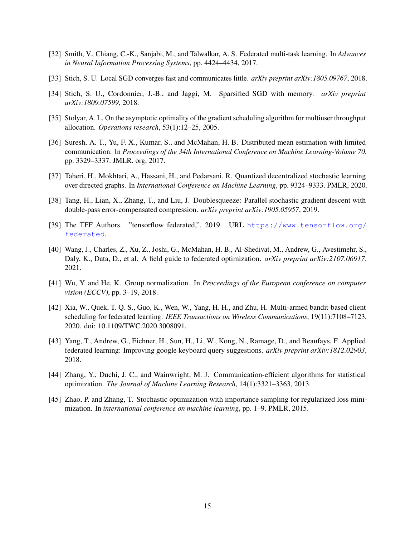- <span id="page-14-1"></span>[32] Smith, V., Chiang, C.-K., Sanjabi, M., and Talwalkar, A. S. Federated multi-task learning. In *Advances in Neural Information Processing Systems*, pp. 4424–4434, 2017.
- <span id="page-14-8"></span>[33] Stich, S. U. Local SGD converges fast and communicates little. *arXiv preprint arXiv:1805.09767*, 2018.
- <span id="page-14-9"></span>[34] Stich, S. U., Cordonnier, J.-B., and Jaggi, M. Sparsified SGD with memory. *arXiv preprint arXiv:1809.07599*, 2018.
- <span id="page-14-12"></span>[35] Stolyar, A. L. On the asymptotic optimality of the gradient scheduling algorithm for multiuser throughput allocation. *Operations research*, 53(1):12–25, 2005.
- <span id="page-14-3"></span>[36] Suresh, A. T., Yu, F. X., Kumar, S., and McMahan, H. B. Distributed mean estimation with limited communication. In *Proceedings of the 34th International Conference on Machine Learning-Volume 70*, pp. 3329–3337. JMLR. org, 2017.
- <span id="page-14-10"></span>[37] Taheri, H., Mokhtari, A., Hassani, H., and Pedarsani, R. Quantized decentralized stochastic learning over directed graphs. In *International Conference on Machine Learning*, pp. 9324–9333. PMLR, 2020.
- <span id="page-14-2"></span>[38] Tang, H., Lian, X., Zhang, T., and Liu, J. Doublesqueeze: Parallel stochastic gradient descent with double-pass error-compensated compression. *arXiv preprint arXiv:1905.05957*, 2019.
- <span id="page-14-11"></span>[39] The TFF Authors. "tensorflow federated,", 2019. URL [https://www.tensorflow.org/](https://www.tensorflow.org/federated) [federated](https://www.tensorflow.org/federated).
- <span id="page-14-0"></span>[40] Wang, J., Charles, Z., Xu, Z., Joshi, G., McMahan, H. B., Al-Shedivat, M., Andrew, G., Avestimehr, S., Daly, K., Data, D., et al. A field guide to federated optimization. *arXiv preprint arXiv:2107.06917*, 2021.
- <span id="page-14-13"></span>[41] Wu, Y. and He, K. Group normalization. In *Proceedings of the European conference on computer vision (ECCV)*, pp. 3–19, 2018.
- <span id="page-14-4"></span>[42] Xia, W., Quek, T. Q. S., Guo, K., Wen, W., Yang, H. H., and Zhu, H. Multi-armed bandit-based client scheduling for federated learning. *IEEE Transactions on Wireless Communications*, 19(11):7108–7123, 2020. doi: 10.1109/TWC.2020.3008091.
- <span id="page-14-5"></span>[43] Yang, T., Andrew, G., Eichner, H., Sun, H., Li, W., Kong, N., Ramage, D., and Beaufays, F. Applied federated learning: Improving google keyboard query suggestions. *arXiv preprint arXiv:1812.02903*, 2018.
- <span id="page-14-7"></span>[44] Zhang, Y., Duchi, J. C., and Wainwright, M. J. Communication-efficient algorithms for statistical optimization. *The Journal of Machine Learning Research*, 14(1):3321–3363, 2013.
- <span id="page-14-6"></span>[45] Zhao, P. and Zhang, T. Stochastic optimization with importance sampling for regularized loss minimization. In *international conference on machine learning*, pp. 1–9. PMLR, 2015.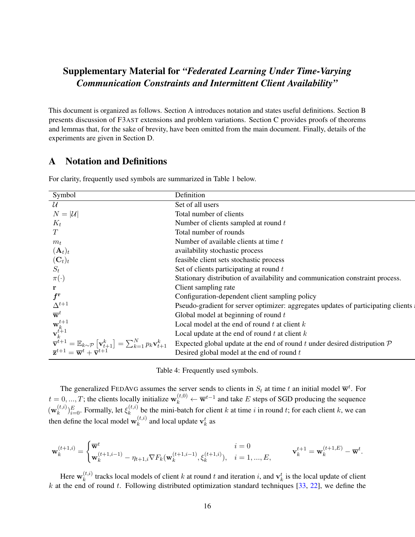# Supplementary Material for *"Federated Learning Under Time-Varying Communication Constraints and Intermittent Client Availability"*

This document is organized as follows. Section A introduces notation and states useful definitions. Section B presents discussion of F3AST extensions and problem variations. Section C provides proofs of theorems and lemmas that, for the sake of brevity, have been omitted from the main document. Finally, details of the experiments are given in Section D.

# A Notation and Definitions

| Symbol                                                                                                                                                                                                                                                      | Definition                                                                           |
|-------------------------------------------------------------------------------------------------------------------------------------------------------------------------------------------------------------------------------------------------------------|--------------------------------------------------------------------------------------|
| $\mathcal{U}$                                                                                                                                                                                                                                               | Set of all users                                                                     |
| $N =  \mathcal{U} $                                                                                                                                                                                                                                         | Total number of clients                                                              |
| $K_t$                                                                                                                                                                                                                                                       | Number of clients sampled at round t                                                 |
| T                                                                                                                                                                                                                                                           | Total number of rounds                                                               |
| $m_t$                                                                                                                                                                                                                                                       | Number of available clients at time t                                                |
| $(\mathbf{A}_t)_t$                                                                                                                                                                                                                                          | availability stochastic process                                                      |
| $(\mathbf{C}_t)_t$                                                                                                                                                                                                                                          | feasible client sets stochastic process                                              |
| $S_t$                                                                                                                                                                                                                                                       | Set of clients participating at round t                                              |
| $\pi(\cdot)$                                                                                                                                                                                                                                                | Stationary distribution of availability and communication constraint process.        |
| r                                                                                                                                                                                                                                                           | Client sampling rate                                                                 |
| $f^{\rm r}$                                                                                                                                                                                                                                                 | Configuration-dependent client sampling policy                                       |
| $\Delta^{t+1}$                                                                                                                                                                                                                                              | Pseudo-gradient for server optimizer: aggregates updates of participating clients    |
| $\overline{\mathbf{w}}^t$                                                                                                                                                                                                                                   | Global model at beginning of round $t$                                               |
|                                                                                                                                                                                                                                                             | Local model at the end of round $t$ at client $k$                                    |
| $\mathbf{w}_{k}^{t+1}$<br>$\mathbf{v}_{k}^{t+1}$                                                                                                                                                                                                            | Local update at the end of round $t$ at client $k$                                   |
| $\begin{array}{c} \overline{\mathbf{v}}^{t+1} = \mathbb{E}_{k \sim \mathcal{P}} \left[ \mathbf{v}_{t+1}^k \right] = \sum_{k=1}^N p_k \mathbf{v}_{t+1}^k \\ \overline{\mathbf{z}}^{t+1} = \overline{\mathbf{w}}^t + \overline{\mathbf{v}}^{t+1} \end{array}$ | Expected global update at the end of round t under desired distripution $\mathcal P$ |
|                                                                                                                                                                                                                                                             | Desired global model at the end of round $t$                                         |

For clarity, frequently used symbols are summarized in Table 1 below.

Table 4: Frequently used symbols.

The generalized FEDAVG assumes the server sends to clients in  $S_t$  at time t an initial model  $\overline{\mathbf{w}}^t$ . For  $t = 0, ..., T$ ; the clients locally initialize  $\mathbf{w}_k^{(t,0)} \leftarrow \overline{\mathbf{w}}^{t-1}$  and take E steps of SGD producing the sequence  $(\mathbf{w}_k^{(t,i)}$  $_{k}^{(t,i)})_{i=0}^{E}$ . Formally, let  $\xi_{k}^{(t,i)}$  $\lambda_k^{(l,i)}$  be the mini-batch for client k at time i in round t; for each client k, we can then define the local model  $\mathbf{w}_k^{(t,i)}$  $k^{(t,i)}$  and local update  $\mathbf{v}_k^t$  as

$$
\mathbf{w}_{k}^{(t+1,i)} = \begin{cases} \overline{\mathbf{w}}^{t} & i = 0 \\ \mathbf{w}_{k}^{(t+1,i-1)} - \eta_{t+1,i} \nabla F_{k}(\mathbf{w}_{k}^{(t+1,i-1)}, \xi_{k}^{(t+1,i)}), & i = 1, ..., E, \end{cases} \qquad \mathbf{v}_{k}^{t+1} = \mathbf{w}_{k}^{(t+1,E)} - \overline{\mathbf{w}}^{t}.
$$

Here  $\mathbf{w}_k^{(t,i)}$  $k_k^{(t,i)}$  tracks local models of client k at round t and iteration i, and  $\mathbf{v}_k^t$  is the local update of client k at the end of round t. Following distributed optimization standard techniques  $[33, 22]$  $[33, 22]$  $[33, 22]$ , we define the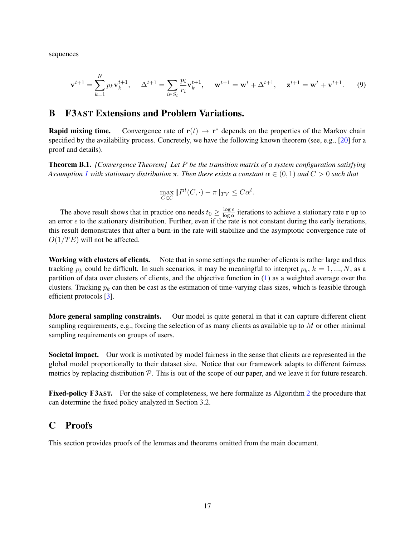sequences

$$
\overline{\mathbf{v}}^{t+1} = \sum_{k=1}^{N} p_k \mathbf{v}_k^{t+1}, \quad \Delta^{t+1} = \sum_{i \in S_t} \frac{p_i}{r_i} \mathbf{v}_k^{t+1}, \quad \overline{\mathbf{w}}^{t+1} = \overline{\mathbf{w}}^t + \Delta^{t+1}, \quad \overline{\mathbf{z}}^{t+1} = \overline{\mathbf{w}}^t + \overline{\mathbf{v}}^{t+1}.
$$
 (9)

# B F3AST Extensions and Problem Variations.

**Rapid mixing time.** Convergence rate of  $r(t) \rightarrow r^*$  depends on the properties of the Markov chain specified by the availability process. Concretely, we have the following known theorem (see, e.g., [\[20\]](#page-13-15) for a proof and details).

Theorem B.1. *[Convergence Theorem] Let* P *be the transition matrix of a system configuration satisfying Assumption* [1](#page-4-0) with stationary distribution  $\pi$ . Then there exists a constant  $\alpha \in (0,1)$  and  $C > 0$  such that

$$
\max_{C \in \mathcal{C}} \|P^t(C, \cdot) - \pi\|_{TV} \le C\alpha^t.
$$

The above result shows that in practice one needs  $t_0 \geq \frac{\log \epsilon}{\log \alpha}$  $\frac{\log \epsilon}{\log \alpha}$  iterations to achieve a stationary rate **r** up to an error  $\epsilon$  to the stationary distribution. Further, even if the rate is not constant during the early iterations, this result demonstrates that after a burn-in the rate will stabilize and the asymptotic convergence rate of  $O(1/TE)$  will not be affected.

Working with clusters of clients. Note that in some settings the number of clients is rather large and thus tracking  $p_k$  could be difficult. In such scenarios, it may be meaningful to interpret  $p_k$ ,  $k = 1, ..., N$ , as a partition of data over clusters of clients, and the objective function in [\(1\)](#page-2-1) as a weighted average over the clusters. Tracking  $p_k$  can then be cast as the estimation of time-varying class sizes, which is feasible through efficient protocols [\[3\]](#page-12-12).

More general sampling constraints. Our model is quite general in that it can capture different client sampling requirements, e.g., forcing the selection of as many clients as available up to  $M$  or other minimal sampling requirements on groups of users.

Societal impact. Our work is motivated by model fairness in the sense that clients are represented in the global model proportionally to their dataset size. Notice that our framework adapts to different fairness metrics by replacing distribution  $P$ . This is out of the scope of our paper, and we leave it for future research.

Fixed-policy F3AST. For the sake of completeness, we here formalize as Algorithm [2](#page-17-0) the procedure that can determine the fixed policy analyzed in Section 3.2.

# C Proofs

This section provides proofs of the lemmas and theorems omitted from the main document.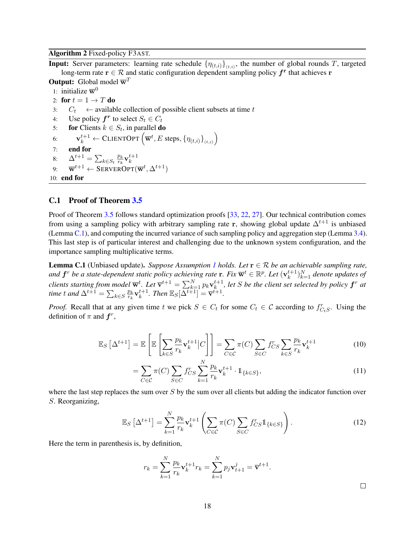#### <span id="page-17-0"></span>Algorithm 2 Fixed-policy F3AST.

**Input:** Server parameters: learning rate schedule  $\{\eta_{(t,i)}\}_{(t,i)}$ , the number of global rounds T, targeted long-term rate  $\mathbf{r} \in \mathcal{R}$  and static configuration dependent sampling policy  $\boldsymbol{f}^{\mathbf{r}}$  that achieves  $\mathbf{r}$ 

- **Output:** Global model  $\overline{\mathbf{w}}^T$ 1: initialize  $\overline{\mathbf{w}}^0$ 2: for  $t = 1 \rightarrow T$  do 3:  $C_t \leftarrow$  available collection of possible client subsets at time t 4: Use policy  $f^r$  to select  $S_t \in C_t$ 5: **for** Clients  $k \in S_t$ , in parallel **do** 6:  $\mathbf{v}_k^{t+1} \leftarrow \text{CLIENTOPT}\left(\mathbf{\overline{w}}^t, E \text{ steps}, \left\{\eta_{(t,i)}\right\}_{(t,i)}\right)$ 7: end for 8:  $\Delta^{t+1} = \sum_{k \in S_t} \frac{p_k}{r_k}$  $\frac{p_k}{r_k}\mathbf{v}_k^{t+1}$
- <sup>6.  $\Delta$ </sup>  $\sum_{k \in S_t} \overline{r_k} \cdot k$ <br>9:  $\overline{\mathbf{w}}^{t+1} \leftarrow \text{SERVEROPT}(\overline{\mathbf{w}}^t, \Delta^{t+1})$

10: end for

### C.1 Proof of Theorem [3.5](#page-7-0)

Proof of Theorem [3.5](#page-7-0) follows standard optimization proofs [\[33,](#page-14-8) [22,](#page-13-5) [27\]](#page-13-2). Our technical contribution comes from using a sampling policy with arbitrary sampling rate r, showing global update  $\Delta^{t+1}$  is unbiased (Lemma [C.1\)](#page-17-1), and computing the incurred variance of such sampling policy and aggregation step (Lemma [3.4\)](#page-7-5). This last step is of particular interest and challenging due to the unknown system configuration, and the importance sampling multiplicative terms.

<span id="page-17-1"></span>**Lemma C.[1](#page-4-0)** (Unbiased update). *Suppose Assumption 1 holds. Let*  $\mathbf{r} \in \mathcal{R}$  *be an achievable sampling rate,* and  $\bm{f}^r$  be a state-dependent static policy achieving rate  $\mathbf{r}$ . Fix  $\overline{\mathbf{w}}^t \in \mathbb{R}^p$ . Let  $(\mathbf{v}_k^{t+1})$  $_{k}^{t+1})_{k=1}^{N}$  denote updates of *clients starting from model*  $\overline{\mathbf{w}}^{t}$ *. Let*  $\overline{\mathbf{v}}^{t+1} = \sum_{k=1}^{N} p_k \mathbf{v}_k^{t+1}$  $\mathcal{F}_{k}^{t+1}$ , let *S* be the client set selected by policy  $\boldsymbol{f}^r$  at *time t* and  $\Delta^{t+1} = \sum_{k \in S} \frac{p_k}{r_k}$  $\frac{p_k}{r_k}\mathbf{v}_k^{t+1}$  $k^{t+1}$ . Then  $\mathbb{E}_S[\overline{\Delta^{t+1}}] = \overline{\mathbf{v}}^{t+1}$ .

*Proof.* Recall that at any given time t we pick  $S \in C_t$  for some  $C_t \in \mathcal{C}$  according to  $f_{C_tS}^r$ . Using the definition of  $\pi$  and  $f^r$ ,

$$
\mathbb{E}_S\left[\Delta^{t+1}\right] = \mathbb{E}\left[\mathbb{E}\left[\sum_{k\in S} \frac{p_k}{r_k} \mathbf{v}_k^{t+1} | C\right]\right] = \sum_{C\in\mathcal{C}} \pi(C) \sum_{S\in C} f_{CS}^r \sum_{k\in S} \frac{p_k}{r_k} \mathbf{v}_k^{t+1}
$$
(10)

$$
= \sum_{C \in \mathcal{C}} \pi(C) \sum_{S \in C} f_{CS}^r \sum_{k=1}^N \frac{p_k}{r_k} \mathbf{v}_k^{t+1} \cdot \mathbb{1}_{\{k \in S\}},\tag{11}
$$

where the last step replaces the sum over  $S$  by the sum over all clients but adding the indicator function over S. Reorganizing,

$$
\mathbb{E}_S\left[\Delta^{t+1}\right] = \sum_{k=1}^N \frac{p_k}{r_k} \mathbf{v}_k^{t+1} \left(\sum_{C \in \mathcal{C}} \pi(C) \sum_{S \in C} f_{CS}^r \mathbb{1}_{\{k \in S\}}\right). \tag{12}
$$

Here the term in parenthesis is, by definition,

$$
r_k = \sum_{k=1}^N \frac{p_k}{r_k} \mathbf{v}_k^{t+1} r_k = \sum_{k=1}^N p_j \mathbf{v}_{t+1}^j = \overline{\mathbf{v}}^{t+1}.
$$

 $\Box$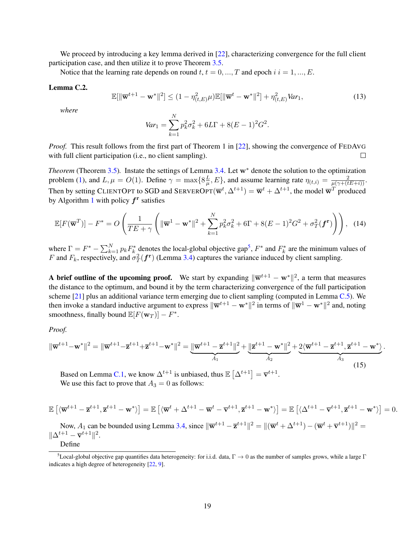We proceed by introducing a key lemma derived in [\[22\]](#page-13-5), characterizing convergence for the full client participation case, and then utilize it to prove Theorem [3.5.](#page-7-0)

Notice that the learning rate depends on round t,  $t = 0, ..., T$  and epoch  $i \, i = 1, ..., E$ .

#### <span id="page-18-1"></span>Lemma C.2.

$$
\mathbb{E}[\|\overline{\mathbf{w}}^{t+1} - \mathbf{w}^*\|^2] \le (1 - \eta_{(t,E)}^2 \mu) \mathbb{E}[\|\overline{\mathbf{w}}^t - \mathbf{w}^*\|^2] + \eta_{(t,E)}^2 Var_1,
$$
\n(13)

*where*

$$
Var_1 = \sum_{k=1}^{N} p_k^2 \sigma_k^2 + 6L\Gamma + 8(E-1)^2 G^2.
$$

*Proof.* This result follows from the first part of Theorem 1 in [\[22\]](#page-13-5), showing the convergence of FEDAVG with full client participation (i.e., no client sampling).  $\Box$ 

*Theorem* (Theorem [3.5\)](#page-7-0)*.* Instate the settings of Lemma [3.4.](#page-7-5) Let w<sup>∗</sup> denote the solution to the optimization problem [\(1\)](#page-2-1), and  $L, \mu = O(1)$ . Define  $\gamma = \max\{8\frac{L}{\mu}\}$  $\frac{L}{\mu}$ , E}, and assume learning rate  $\eta_{(t,i)} = \frac{2}{\mu(\gamma + (tE + i))}$ . Then by setting CLIENTOPT to SGD and SERVEROPT $(\overline{\mathbf{w}}^t, \Delta^{t+1}) = \overline{\mathbf{w}}^t + \Delta^{t+1}$ , the model  $\overline{\mathbf{w}}^T$  produced by Algorithm [1](#page-6-1) with policy  $f<sup>r</sup>$  satisfies

$$
\mathbb{E}[F(\overline{\mathbf{w}}^T)] - F^* = O\left(\frac{1}{TE + \gamma} \left( \|\overline{\mathbf{w}}^1 - \mathbf{w}^*\|^2 + \sum_{k=1}^N p_k^2 \sigma_k^2 + 6\Gamma + 8(E - 1)^2 G^2 + \sigma_T^2(\boldsymbol{f}^r) \right) \right), \quad (14)
$$

where  $\Gamma = F^* - \sum_{k=1}^N p_k F_k^*$  denotes the local-global objective gap<sup>[5](#page-18-0)</sup>,  $F^*$  and  $F_k^*$  are the minimum values of F and  $F_k$ , respectively, and  $\sigma_T^2(\mathbf{f}^{\mathbf{r}})$  (Lemma [3.4\)](#page-7-5) captures the variance induced by client sampling.

A brief outline of the upcoming proof. We start by expanding  $\|\overline{\mathbf{w}}^{t+1} - \mathbf{w}^*\|^2$ , a term that measures the distance to the optimum, and bound it by the term characterizing convergence of the full participation scheme [\[21\]](#page-13-3) plus an additional variance term emerging due to client sampling (computed in Lemma [C.5\)](#page-20-0). We then invoke a standard inductive argument to express  $\|\overline{\mathbf{w}}^{t+1} - \mathbf{w}^*\|^2$  in terms of  $\|\overline{\mathbf{w}}^1 - \mathbf{w}^*\|^2$  and, noting smoothness, finally bound  $\mathbb{E}[F(\mathbf{w}_T)] - F^*$ .

<span id="page-18-2"></span>*Proof.*

$$
\|\overline{\mathbf{w}}^{t+1} - \mathbf{w}^*\|^2 = \|\overline{\mathbf{w}}^{t+1} - \overline{\mathbf{z}}^{t+1} + \overline{\mathbf{z}}^{t+1} - \mathbf{w}^*\|^2 = \underbrace{\|\overline{\mathbf{w}}^{t+1} - \overline{\mathbf{z}}^{t+1}\|^2}_{A_1} + \underbrace{\|\overline{\mathbf{z}}^{t+1} - \mathbf{w}^*\|^2}_{A_2} + \underbrace{2\langle\overline{\mathbf{w}}^{t+1} - \overline{\mathbf{z}}^{t+1}, \overline{\mathbf{z}}^{t+1} - \mathbf{w}^*\rangle}_{A_3}.
$$
\n(15)

Based on Lemma [C.1,](#page-17-1) we know  $\Delta^{t+1}$  is unbiased, thus  $\mathbb{E} \left[ \Delta^{t+1} \right] = \overline{\mathbf{v}}^{t+1}$ . We use this fact to prove that  $A_3 = 0$  as follows:

$$
\mathbb{E}\left[\langle \overline{\mathbf{w}}^{t+1} - \overline{\mathbf{z}}^{t+1}, \overline{\mathbf{z}}^{t+1} - \mathbf{w}^* \rangle\right] = \mathbb{E}\left[\langle \overline{\mathbf{w}}^t + \Delta^{t+1} - \overline{\mathbf{w}}^t - \overline{\mathbf{v}}^{t+1}, \overline{\mathbf{z}}^{t+1} - \mathbf{w}^* \rangle\right] = \mathbb{E}\left[\langle \Delta^{t+1} - \overline{\mathbf{v}}^{t+1}, \overline{\mathbf{z}}^{t+1} - \mathbf{w}^* \rangle\right] = 0.
$$

Now,  $A_1$  can be bounded using Lemma [3.4,](#page-7-5) since  $\|\overline{\mathbf{w}}^{t+1} - \overline{\mathbf{z}}^{t+1}\|^2 = \|(\overline{\mathbf{w}}^t + \Delta^{t+1}) - (\overline{\mathbf{w}}^t + \overline{\mathbf{v}}^{t+1})\|^2 =$  $\|\Delta^{t+1} - \overline{\mathbf{v}}^{t+1}\|^2.$ 

<span id="page-18-0"></span>Define

<sup>&</sup>lt;sup>5</sup>Local-global objective gap quantifies data heterogeneity: for i.i.d. data,  $\Gamma \to 0$  as the number of samples grows, while a large  $\Gamma$ indicates a high degree of heterogeneity [\[22,](#page-13-5) [9\]](#page-12-3).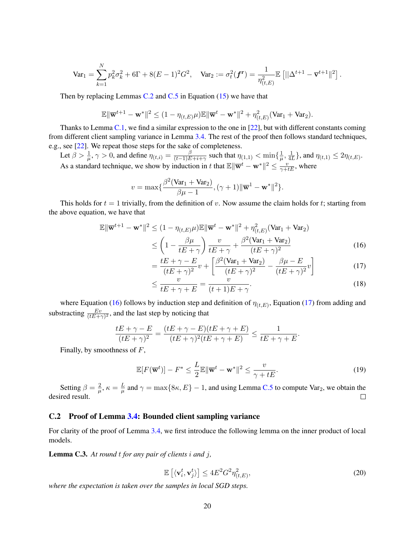$$
\text{Var}_1 = \sum_{k=1}^N p_k^2 \sigma_k^2 + 6\Gamma + 8(E-1)^2 G^2, \quad \text{Var}_2 := \sigma_t^2(\boldsymbol{f}^{\mathbf{r}}) = \frac{1}{\eta_{(t,E)}^2} \mathbb{E}\left[||\Delta^{t+1} - \overline{\mathbf{v}}^{t+1}||^2\right].
$$

Then by replacing Lemmas [C.2](#page-18-1) and [C.5](#page-20-0) in Equation  $(15)$  we have that

$$
\mathbb{E}\|\overline{\mathbf{w}}^{t+1}-\mathbf{w}^*\|^2 \leq (1-\eta_{(t,E)}\mu)\mathbb{E}\|\overline{\mathbf{w}}^t-\mathbf{w}^*\|^2+\eta_{(t,E)}^2(\text{Var}_1+\text{Var}_2).
$$

Thanks to Lemma [C.1,](#page-17-1) we find a similar expression to the one in [\[22\]](#page-13-5), but with different constants coming from different client sampling variance in Lemma [3.4.](#page-7-5) The rest of the proof then follows standard techniques, e.g., see [\[22\]](#page-13-5). We repeat those steps for the sake of completeness.

Let  $\beta > \frac{1}{\mu}, \gamma > 0$ , and define  $\eta_{(t,i)} = \frac{\beta}{(t-1)E}$  $\frac{\beta}{(t-1)E+i+\gamma}$  such that  $\eta_{(1,1)} < \min\{\frac{1}{\mu}\}$  $\frac{1}{\mu}, \frac{1}{4l}$  $\frac{1}{4L}$ }, and  $\eta_{(t,1)} \leq 2\eta_{(t,E)}$ . As a standard technique, we show by induction in t that  $\mathbb{E} \|\overline{\mathbf{w}}^t - \mathbf{w}^*\|^2 \le \frac{v}{\gamma + tE}$ , where

$$
v = \max\{\frac{\beta^2(\text{Var}_1 + \text{Var}_2)}{\beta \mu - 1}, (\gamma + 1) \|\overline{\mathbf{w}}^1 - \mathbf{w}^*\|^2\}.
$$

This holds for  $t = 1$  trivially, from the definition of v. Now assume the claim holds for t; starting from the above equation, we have that

$$
\mathbb{E} \|\overline{\mathbf{w}}^{t+1} - \mathbf{w}^*\|^2 \le (1 - \eta_{(t,E)}\mu) \mathbb{E} \|\overline{\mathbf{w}}^t - \mathbf{w}^*\|^2 + \eta_{(t,E)}^2 (\text{Var}_1 + \text{Var}_2)
$$
  
 
$$
\le \left(1 - \frac{\beta \mu}{tE + \gamma}\right) \frac{v}{tE + \gamma} + \frac{\beta^2 (\text{Var}_1 + \text{Var}_2)}{(tE + \gamma)^2}
$$
(16)

$$
= \frac{tE + \gamma - E}{(tE + \gamma)^2}v + \left[\frac{\beta^2(\text{Var}_1 + \text{Var}_2)}{(tE + \gamma)^2} - \frac{\beta \mu - E}{(tE + \gamma)^2}v\right]
$$
(17)

<span id="page-19-1"></span><span id="page-19-0"></span>
$$
\leq \frac{v}{tE + \gamma + E} = \frac{v}{(t+1)E + \gamma}.\tag{18}
$$

where Equation [\(16\)](#page-19-0) follows by induction step and definition of  $\eta_{(t,E)}$ , Equation [\(17\)](#page-19-1) from adding and substracting  $\frac{Ev}{(tE+\gamma)^2}$ , and the last step by noticing that

$$
\frac{tE + \gamma - E}{(tE + \gamma)^2} = \frac{(tE + \gamma - E)(tE + \gamma + E)}{(tE + \gamma)^2(tE + \gamma + E)} \le \frac{1}{tE + \gamma + E}.
$$

Finally, by smoothness of  $F$ ,

$$
\mathbb{E}[F(\overline{\mathbf{w}}^t)] - F^* \le \frac{L}{2} \mathbb{E} \|\overline{\mathbf{w}}^t - \mathbf{w}^*\|^2 \le \frac{v}{\gamma + tE}.
$$
\n(19)

Setting  $\beta = \frac{2}{\mu}$  $\frac{2}{\mu}, \kappa = \frac{L}{\mu}$  $\frac{L}{\mu}$  and  $\gamma = \max\{8\kappa, E\} - 1$ , and using Lemma [C.5](#page-20-0) to compute Var<sub>2</sub>, we obtain the desired result.  $\Box$ 

#### C.2 Proof of Lemma [3.4:](#page-7-5) Bounded client sampling variance

For clarity of the proof of Lemma [3.4,](#page-7-5) we first introduce the following lemma on the inner product of local models.

<span id="page-19-2"></span>Lemma C.3. *At round* t *for any pair of clients* i *and* j*,*

$$
\mathbb{E}\left[\langle \mathbf{v}_i^t, \mathbf{v}_j^t \rangle\right] \le 4E^2 G^2 \eta_{(t,E)}^2,\tag{20}
$$

*where the expectation is taken over the samples in local SGD steps.*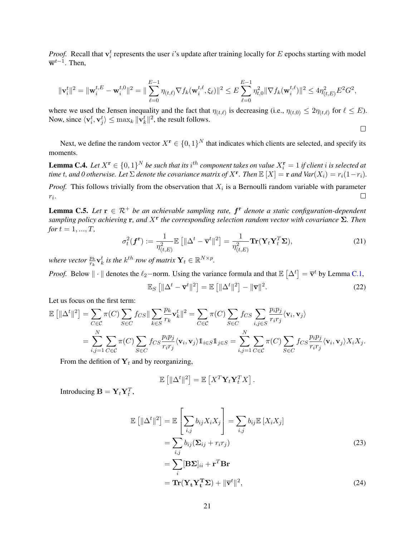*Proof.* Recall that  $v_i^t$  represents the user i's update after training locally for E epochs starting with model  $\overline{\mathbf{w}}^{t-1}$ . Then,

$$
\|\mathbf{v}_i^t\|^2 = \|\mathbf{w}_i^{t,E} - \mathbf{w}_i^{t,0}\|^2 = \|\sum_{\ell=0}^{E-1} \eta_{(t,\ell)} \nabla f_k(\mathbf{w}_i^{t,\ell}, \xi_\ell)\|^2 \le E \sum_{\ell=0}^{E-1} \eta_{t,0}^2 \|\nabla f_k(\mathbf{w}_i^{t,\ell})\|^2 \le 4\eta_{(t,E)}^2 E^2 G^2,
$$

where we used the Jensen inequality and the fact that  $\eta_{(t,\ell)}$  is decreasing (i.e.,  $\eta_{(t,0)} \leq 2\eta_{(t,\ell)}$  for  $\ell \leq E$ ). Now, since  $\langle \mathbf{v}_i^t, \mathbf{v}_j^t \rangle \leq \max_k ||\mathbf{v}_k^t||^2$ , the result follows.

Next, we define the random vector  $X^r \in \{0,1\}^N$  that indicates which clients are selected, and specify its moments.

<span id="page-20-4"></span>**Lemma C.4.** Let  $X^r \in \{0,1\}^N$  be such that its  $i^{th}$  component takes on value  $X_i^r = 1$  if client  $i$  is selected at *time* t, and 0 otherwise. Let  $\Sigma$  denote the covariance matrix of  $X^{\mathbf{r}}$ . Then  $\mathbb{E}[X] = \mathbf{r}$  and  $Var(X_i) = r_i(1-r_i)$ .

*Proof.* This follows trivially from the observation that  $X_i$  is a Bernoulli random variable with parameter  $r_i$ .  $\Box$ 

<span id="page-20-0"></span>**Lemma C.5.** Let  $r \in \mathbb{R}^+$  be an achievable sampling rate,  $f^r$  denote a static configuration-dependent *sampling policy achieving* r*, and* X<sup>r</sup> *the corresponding selection random vector with covariance* Σ*. Then for*  $t = 1, ..., T$ ,

$$
\sigma_t^2(\boldsymbol{f}^{\mathbf{r}}) := \frac{1}{\eta_{(t,E)}^2} \mathbb{E}\left[\|\Delta^t - \overline{\mathbf{v}}^t\|^2\right] = \frac{1}{\eta_{(t,E)}^2} \mathbf{Tr}(\mathbf{Y}_t \mathbf{Y}_t^T \boldsymbol{\Sigma}),\tag{21}
$$

where vector  $\frac{p_k}{r_k} \mathbf{v}_k^t$  is the  $k^{th}$  row of matrix  $\mathbf{Y}_t \in \mathbb{R}^{N \times p}$ .

*Proof.* Below  $\|\cdot\|$  denotes the  $\ell_2$ -norm. Using the variance formula and that  $\mathbb{E}[\Delta^t] = \overline{\mathbf{v}}^t$  by Lemma [C.1,](#page-17-1)

$$
\mathbb{E}_S\left[\|\Delta^t - \overline{\mathbf{v}}^t\|^2\right] = \mathbb{E}\left[\|\Delta^t\|^2\right] - \|\overline{\mathbf{v}}\|^2. \tag{22}
$$

<span id="page-20-3"></span> $\Box$ 

Let us focus on the first term:

$$
\mathbb{E} [\|\Delta^t\|^2] = \sum_{C \in \mathcal{C}} \pi(C) \sum_{S \in C} f_{CS} \|\sum_{k \in S} \frac{p_k}{r_k} \mathbf{v}_k^t\|^2 = \sum_{C \in \mathcal{C}} \pi(C) \sum_{S \in C} f_{CS} \sum_{i,j \in S} \frac{p_i p_j}{r_i r_j} \langle \mathbf{v}_i, \mathbf{v}_j \rangle
$$
  
= 
$$
\sum_{i,j=1}^N \sum_{C \in \mathcal{C}} \pi(C) \sum_{S \in C} f_{CS} \frac{p_i p_j}{r_i r_j} \langle \mathbf{v}_i, \mathbf{v}_j \rangle 1_{i \in S} 1_{j \in S} = \sum_{i,j=1}^N \sum_{C \in \mathcal{C}} \pi(C) \sum_{S \in C} f_{CS} \frac{p_i p_j}{r_i r_j} \langle \mathbf{v}_i, \mathbf{v}_j \rangle X_i X_j.
$$

From the defition of  $Y_t$  and by reorganizing,

<span id="page-20-2"></span><span id="page-20-1"></span>
$$
\mathbb{E}\left[\|\Delta^t\|^2\right] = \mathbb{E}\left[X^T\mathbf{Y}_t\mathbf{Y}_t^T X\right].
$$

Introducing  $\mathbf{B} = \mathbf{Y}_t \mathbf{Y}_t^T$ ,

$$
\mathbb{E} [||\Delta^t||^2] = \mathbb{E} \left[ \sum_{i,j} b_{ij} X_i X_j \right] = \sum_{i,j} b_{ij} \mathbb{E} [X_i X_j]
$$
  
\n
$$
= \sum_{i,j} b_{ij} (\Sigma_{ij} + r_i r_j)
$$
(23)  
\n
$$
= \sum_i [\mathbf{B} \Sigma]_{ii} + \mathbf{r}^T \mathbf{B} \mathbf{r}
$$
  
\n
$$
= \mathbf{Tr} (\mathbf{Y}_t \mathbf{Y}_t^T \Sigma) + ||\mathbf{\overline{v}}^t||^2,
$$
(24)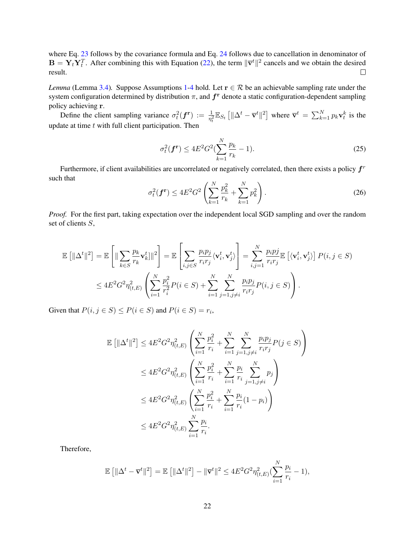where Eq. [23](#page-20-1) follows by the covariance formula and Eq. [24](#page-20-2) follows due to cancellation in denominator of  $\mathbf{B} = \mathbf{Y}_t \mathbf{Y}_t^T$ . After combining this with Equation [\(22\)](#page-20-3), the term  $\|\bar{\mathbf{v}}^t\|^2$  cancels and we obtain the desired result.  $\Box$ 

*Lemma* (Lemma [3.4\)](#page-7-5). Suppose Assumptions [1-](#page-4-0)[4](#page-7-4) hold. Let  $r \in \mathcal{R}$  be an achievable sampling rate under the system configuration determined by distribution  $\pi$ , and  $f^r$  denote a static configuration-dependent sampling policy achieving r.

Define the client sampling variance  $\sigma_t^2(f^r) := \frac{1}{\eta_t^2} \mathbb{E}_{S_t} [\|\Delta^t - \overline{\mathbf{v}}^t\|^2]$  where  $\overline{\mathbf{v}}^t = \sum_{k=1}^N p_k \mathbf{v}_t^k$  is the update at time  $t$  with full client participation. Then

$$
\sigma_t^2(\mathbf{f}^{\mathbf{r}}) \le 4E^2 G^2 (\sum_{k=1}^N \frac{p_k}{r_k} - 1).
$$
 (25)

Furthermore, if client availabilities are uncorrelated or negatively correlated, then there exists a policy  $f^r$ such that

$$
\sigma_t^2(\mathbf{f}^{\mathbf{r}}) \le 4E^2 G^2 \left( \sum_{k=1}^N \frac{p_k^2}{r_k} + \sum_{k=1}^N p_k^2 \right). \tag{26}
$$

*Proof.* For the first part, taking expectation over the independent local SGD sampling and over the random set of clients S,

$$
\mathbb{E}\left[\|\Delta^t\|^2\right] = \mathbb{E}\left[\|\sum_{k\in S} \frac{p_k}{r_k} \mathbf{v}_k^t\|^2\right] = \mathbb{E}\left[\sum_{i,j\in S} \frac{p_i p_j}{r_i r_j} \langle \mathbf{v}_i^t, \mathbf{v}_j^t \rangle\right] = \sum_{i,j=1}^N \frac{p_i p_j}{r_i r_j} \mathbb{E}\left[\langle \mathbf{v}_i^t, \mathbf{v}_j^t \rangle\right] P(i, j \in S)
$$
  

$$
\leq 4E^2 G^2 \eta_{(t,E)}^2 \left(\sum_{i=1}^N \frac{p_i^2}{r_i^2} P(i \in S) + \sum_{i=1}^N \sum_{j=1, j\neq i}^N \frac{p_i p_j}{r_i r_j} P(i, j \in S)\right).
$$

Given that  $P(i, j \in S) \le P(i \in S)$  and  $P(i \in S) = r_i$ ,

$$
\mathbb{E} \left[ \|\Delta^t\|^2 \right] \le 4E^2 G^2 \eta_{(t,E)}^2 \left( \sum_{i=1}^N \frac{p_i^2}{r_i} + \sum_{i=1}^N \sum_{j=1, j\neq i}^N \frac{p_i p_j}{r_i r_j} P(j \in S) \right)
$$
  

$$
\le 4E^2 G^2 \eta_{(t,E)}^2 \left( \sum_{i=1}^N \frac{p_i^2}{r_i} + \sum_{i=1}^N \frac{p_i}{r_i} \sum_{j=1, j\neq i}^N p_j \right)
$$
  

$$
\le 4E^2 G^2 \eta_{(t,E)}^2 \left( \sum_{i=1}^N \frac{p_i^2}{r_i} + \sum_{i=1}^N \frac{p_i}{r_i} (1 - p_i) \right)
$$
  

$$
\le 4E^2 G^2 \eta_{(t,E)}^2 \sum_{i=1}^N \frac{p_i}{r_i}.
$$

Therefore,

$$
\mathbb{E} [ \|\Delta^t - \overline{\mathbf{v}}^t\|^2 ] = \mathbb{E} [ \|\Delta^t\|^2 ] - \|\overline{\mathbf{v}}^t\|^2 \le 4E^2 G^2 \eta_{(t,E)}^2 (\sum_{i=1}^N \frac{p_i}{r_i} - 1),
$$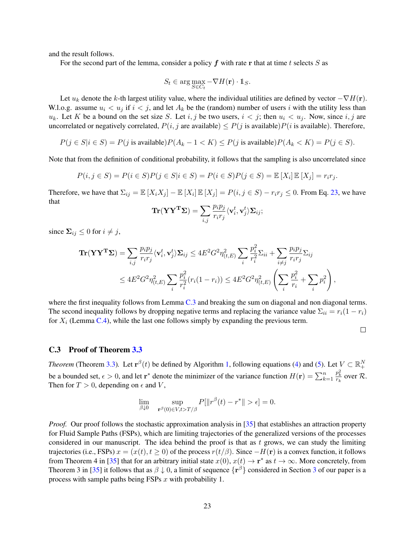and the result follows.

For the second part of the lemma, consider a policy  $f$  with rate r that at time t selects  $S$  as

$$
S_t \in \arg\max_{S \in C_t} -\nabla H(\mathbf{r}) \cdot \mathbb{1}_S.
$$

Let  $u_k$  denote the k-th largest utility value, where the individual utilities are defined by vector  $-\nabla H(\mathbf{r})$ . W.l.o.g. assume  $u_i < u_j$  if  $i < j$ , and let  $A_k$  be the (random) number of users i with the utility less than  $u_k$ . Let K be a bound on the set size S. Let i, j be two users,  $i < j$ ; then  $u_i < u_j$ . Now, since i, j are uncorrelated or negatively correlated,  $P(i, j$  are available)  $\leq P(j$  is available) $P(i$  is available). Therefore,

 $P(j \in S | i \in S) = P(j \text{ is available})P(A_k - 1 < K) \le P(j \text{ is available})P(A_k < K) = P(j \in S).$ 

Note that from the definition of conditional probability, it follows that the sampling is also uncorrelated since

$$
P(i, j \in S) = P(i \in S)P(j \in S | i \in S) = P(i \in S)P(j \in S) = \mathbb{E}[X_i] \mathbb{E}[X_j] = r_i r_j.
$$

Therefore, we have that  $\Sigma_{ij} = \mathbb{E} [X_i X_j] - \mathbb{E} [X_i] \mathbb{E} [X_j] = P(i, j \in S) - r_i r_j \leq 0$ . From Eq. [23,](#page-20-1) we have that

$$
\mathbf{Tr}(\mathbf{Y}\mathbf{Y}^{\mathbf{T}}\mathbf{\Sigma}) = \sum_{i,j} \frac{p_i p_j}{r_i r_j} \langle \mathbf{v}_i^t, \mathbf{v}_j^t \rangle \mathbf{\Sigma}_{ij};
$$

since  $\Sigma_{ij} \leq 0$  for  $i \neq j$ ,

$$
\mathbf{Tr}(\mathbf{Y}\mathbf{Y}^{\mathbf{T}}\mathbf{\Sigma}) = \sum_{i,j} \frac{p_i p_j}{r_i r_j} \langle \mathbf{v}_i^t, \mathbf{v}_j^t \rangle \mathbf{\Sigma}_{ij} \le 4E^2 G^2 \eta_{(t,E)}^2 \sum_i \frac{p_i^2}{r_i^2} \Sigma_{ii} + \sum_{i \ne j} \frac{p_i p_j}{r_i r_j} \Sigma_{ij}
$$
  

$$
\le 4E^2 G^2 \eta_{(t,E)}^2 \sum_i \frac{p_i^2}{r_i^2} (r_i (1 - r_i)) \le 4E^2 G^2 \eta_{(t,E)}^2 \left( \sum_i \frac{p_i^2}{r_i} + \sum_i p_i^2 \right),
$$

where the first inequality follows from Lemma [C.3](#page-19-2) and breaking the sum on diagonal and non diagonal terms. The second inequality follows by dropping negative terms and replacing the variance value  $\Sigma_{ii} = r_i(1 - r_i)$ for  $X_i$  (Lemma [C.4\)](#page-20-4), while the last one follows simply by expanding the previous term.

 $\Box$ 

#### C.3 Proof of Theorem [3.3](#page-6-0)

*Theorem* (Theorem [3.3\)](#page-6-0). Let  $\mathbf{r}^{\beta}(t)$  be defined by Algorithm [1,](#page-6-1) following equations [\(4\)](#page-5-0) and [\(5\)](#page-6-2). Let  $V \subset \mathbb{R}^N_+$ be a bounded set,  $\epsilon > 0$ , and let  $\mathbf{r}^*$  denote the minimizer of the variance function  $H(\mathbf{r}) = \sum_{k=1}^n$  $\frac{p_k^2}{r_k}$  over  $\mathcal{R}$ . Then for  $T > 0$ , depending on  $\epsilon$  and V,

$$
\lim_{\beta \downarrow 0} \quad \sup_{\mathbf{r}^{\beta}(0) \in V, t > T/\beta} P[\|r^{\beta}(t) - r^*\| > \epsilon] = 0.
$$

*Proof.* Our proof follows the stochastic approximation analysis in [\[35\]](#page-14-12) that establishes an attraction property for Fluid Sample Paths (FSPs), which are limiting trajectories of the generalized versions of the processes considered in our manuscript. The idea behind the proof is that as  $t$  grows, we can study the limiting trajectories (i.e., FSPs)  $x = (x(t), t > 0)$  of the process  $r(t/\beta)$ . Since  $-H(r)$  is a convex function, it follows from Theorem 4 in [\[35\]](#page-14-12) that for an arbitrary initial state  $x(0)$ ,  $x(t) \to \mathbf{r}^*$  as  $t \to \infty$ . More concretely, from Theorem 3 in [\[35\]](#page-14-12) it follows that as  $\beta \downarrow 0$ , a limit of sequence  $\{r^\beta\}$  considered in Section [3](#page-3-0) of our paper is a process with sample paths being FSPs x with probability 1.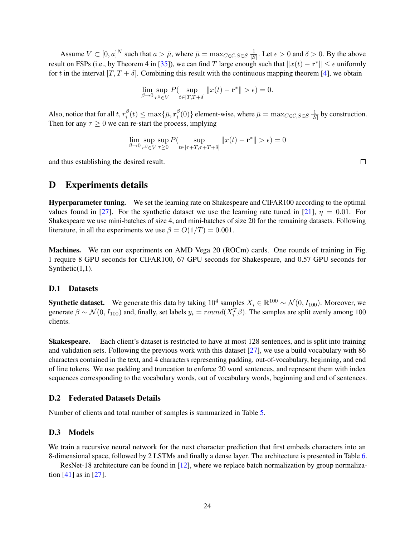Assume  $V \subset [0, a]^N$  such that  $a > \bar{\mu}$ , where  $\bar{\mu} = \max_{C \in \mathcal{C}, S \in S} \frac{1}{|S|}$  $\frac{1}{|S|}$ . Let  $\epsilon > 0$  and  $\delta > 0$ . By the above result on FSPs (i.e., by Theorem 4 in [\[35\]](#page-14-12)), we can find T large enough such that  $||x(t) - \mathbf{r}^*|| \le \epsilon$  uniformly for t in the interval  $[T, T + \delta]$ . Combining this result with the continuous mapping theorem [\[4\]](#page-12-13), we obtain

$$
\lim_{\beta \to 0} \sup_{r^{\beta} \in V} P\left(\sup_{t \in [T, T + \delta]} \|x(t) - \mathbf{r}^*\| > \epsilon\right) = 0.
$$

Also, notice that for all t,  $r_i^{\beta}$  $\frac{\beta}{i}(t) \leq \max\{\bar{\mu}, \mathbf{r}_i^{\beta}\}$  $\sum_{i=1}^{\beta}(0)$ } element-wise, where  $\bar{\mu} = \max_{C \in \mathcal{C}, S \in S} \frac{1}{|S|}$  $\frac{1}{|S|}$  by construction. Then for any  $\tau \geq 0$  we can re-start the process, implying

$$
\lim_{\beta \to 0} \sup_{r\beta \in V} \sup_{\tau \ge 0} P(\sup_{t \in [\tau + T, \tau + T + \delta]} ||x(t) - \mathbf{r}^*|| > \epsilon) = 0
$$

and thus establishing the desired result.

 $\Box$ 

## <span id="page-23-1"></span>D Experiments details

Hyperparameter tuning. We set the learning rate on Shakespeare and CIFAR100 according to the optimal values found in [\[27\]](#page-13-2). For the synthetic dataset we use the learning rate tuned in [\[21\]](#page-13-3),  $\eta = 0.01$ . For Shakespeare we use mini-batches of size 4, and mini-batches of size 20 for the remaining datasets. Following literature, in all the experiments we use  $\beta = O(1/T) = 0.001$ .

Machines. We ran our experiments on AMD Vega 20 (ROCm) cards. One rounds of training in Fig. 1 require 8 GPU seconds for CIFAR100, 67 GPU seconds for Shakespeare, and 0.57 GPU seconds for Synthetic $(1,1)$ .

### D.1 Datasets

**Synthetic dataset.** We generate this data by taking  $10^4$  samples  $X_i \in \mathbb{R}^{100} \sim \mathcal{N}(0, I_{100})$ . Moreover, we generate  $\beta \sim \mathcal{N}(0, I_{100})$  and, finally, set labels  $y_i = round(X_i^T \beta)$ . The samples are split evenly among 100 clients.

Skakespeare. Each client's dataset is restricted to have at most 128 sentences, and is split into training and validation sets. Following the previous work with this dataset [\[27\]](#page-13-2), we use a build vocabulary with 86 characters contained in the text, and 4 characters representing padding, out-of-vocabulary, beginning, and end of line tokens. We use padding and truncation to enforce 20 word sentences, and represent them with index sequences corresponding to the vocabulary words, out of vocabulary words, beginning and end of sentences.

### D.2 Federated Datasets Details

Number of clients and total number of samples is summarized in Table [5.](#page-24-0)

### <span id="page-23-0"></span>D.3 Models

We train a recursive neural network for the next character prediction that first embeds characters into an 8-dimensional space, followed by 2 LSTMs and finally a dense layer. The architecture is presented in Table [6.](#page-24-1)

ResNet-18 architecture can be found in [\[12\]](#page-12-14), where we replace batch normalization by group normalization [\[41\]](#page-14-13) as in [\[27\]](#page-13-2).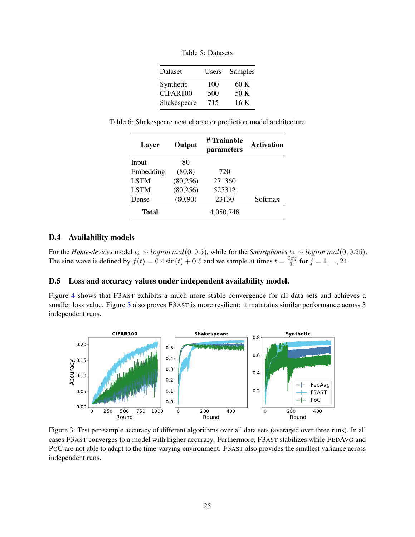Table 5: Datasets

| Dataset     | Users | Samples |
|-------------|-------|---------|
| Synthetic   | 100   | 60 K    |
| CIFAR100    | 500   | 50 K    |
| Shakespeare | 715   | 16 K    |

<span id="page-24-1"></span><span id="page-24-0"></span>Table 6: Shakespeare next character prediction model architecture

| Layer       | # Trainable<br>Output<br>parameters |           | <b>Activation</b> |
|-------------|-------------------------------------|-----------|-------------------|
| Input       | 80                                  |           |                   |
| Embedding   | (80, 8)                             | 720       |                   |
| <b>LSTM</b> | (80, 256)                           | 271360    |                   |
| <b>LSTM</b> | (80, 256)                           | 525312    |                   |
| Dense       | (80,90)                             | 23130     | Softmax           |
| Total       |                                     | 4,050,748 |                   |

### D.4 Availability models

For the *Home-devices* model  $t_k \sim lognormal(0, 0.5)$ , while for the *Smartphones*  $t_k \sim lognormal(0, 0.25)$ . The sine wave is defined by  $f(t) = 0.4 \sin(t) + 0.5$  and we sample at times  $t = \frac{2\pi j}{24}$  for  $j = 1, ..., 24$ .

### D.5 Loss and accuracy values under independent availability model.

Figure [4](#page-25-0) shows that F3AST exhibits a much more stable convergence for all data sets and achieves a smaller loss value. Figure [3](#page-24-2) also proves F3AST is more resilient: it maintains similar performance across 3 independent runs.

<span id="page-24-2"></span>

Figure 3: Test per-sample accuracy of different algorithms over all data sets (averaged over three runs). In all cases F3AST converges to a model with higher accuracy. Furthermore, F3AST stabilizes while FEDAVG and POC are not able to adapt to the time-varying environment. F3AST also provides the smallest variance across independent runs.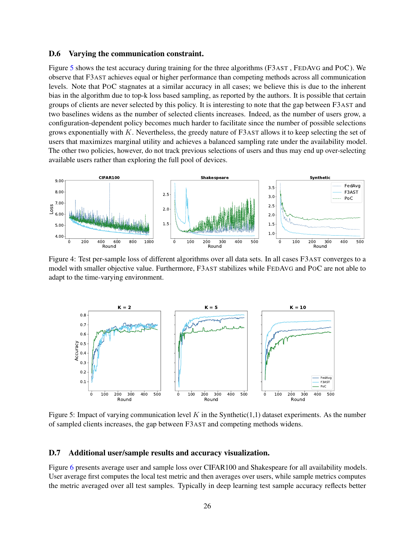### D.6 Varying the communication constraint.

Figure [5](#page-25-1) shows the test accuracy during training for the three algorithms (F3AST , FEDAVG and POC). We observe that F3AST achieves equal or higher performance than competing methods across all communication levels. Note that POC stagnates at a similar accuracy in all cases; we believe this is due to the inherent bias in the algorithm due to top-k loss based sampling, as reported by the authors. It is possible that certain groups of clients are never selected by this policy. It is interesting to note that the gap between F3AST and two baselines widens as the number of selected clients increases. Indeed, as the number of users grow, a configuration-dependent policy becomes much harder to facilitate since the number of possible selections grows exponentially with K. Nevertheless, the greedy nature of F3AST allows it to keep selecting the set of users that maximizes marginal utility and achieves a balanced sampling rate under the availability model. The other two policies, however, do not track previous selections of users and thus may end up over-selecting available users rather than exploring the full pool of devices.

<span id="page-25-0"></span>

Figure 4: Test per-sample loss of different algorithms over all data sets. In all cases F3AST converges to a model with smaller objective value. Furthermore, F3AST stabilizes while FEDAVG and POC are not able to adapt to the time-varying environment.

<span id="page-25-1"></span>

Figure 5: Impact of varying communication level K in the Synthetic(1,1) dataset experiments. As the number of sampled clients increases, the gap between F3AST and competing methods widens.

#### D.7 Additional user/sample results and accuracy visualization.

Figure [6](#page-26-0) presents average user and sample loss over CIFAR100 and Shakespeare for all availability models. User average first computes the local test metric and then averages over users, while sample metrics computes the metric averaged over all test samples. Typically in deep learning test sample accuracy reflects better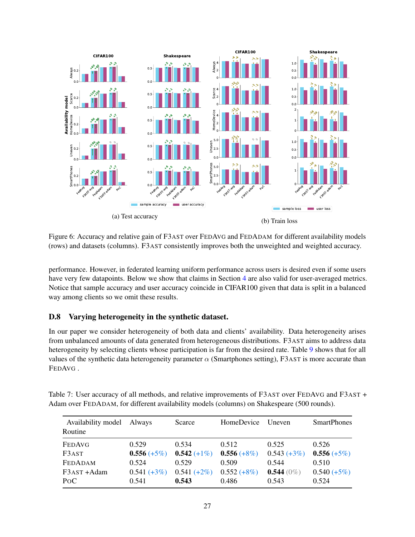<span id="page-26-0"></span>

Figure 6: Accuracy and relative gain of F3AST over FEDAVG and FEDADAM for different availability models (rows) and datasets (columns). F3AST consistently improves both the unweighted and weighted accuracy.

performance. However, in federated learning uniform performance across users is desired even if some users have very few datapoints. Below we show that claims in Section [4](#page-8-3) are also valid for user-averaged metrics. Notice that sample accuracy and user accuracy coincide in CIFAR100 given that data is split in a balanced way among clients so we omit these results.

## D.8 Varying heterogeneity in the synthetic dataset.

In our paper we consider heterogeneity of both data and clients' availability. Data heterogeneity arises from unbalanced amounts of data generated from heterogeneous distributions. F3AST aims to address data heterogeneity by selecting clients whose participation is far from the desired rate. Table [9](#page-27-0) shows that for all values of the synthetic data heterogeneity parameter  $\alpha$  (Smartphones setting), F3AST is more accurate than FEDAVG .

| Availability model<br>Routine | Always        | Scarce         | HomeDevice    | <b>U</b> neven | <b>SmartPhones</b> |
|-------------------------------|---------------|----------------|---------------|----------------|--------------------|
| FEDAVG                        | 0.529         | 0.534          | 0.512         | 0.525          | 0.526              |
| F3AST                         | $0.556 (+5%)$ | $0.542 (+1\%)$ | $0.556 (+8%)$ | $0.543 (+3%)$  | $0.556 (+5%)$      |
| <b>FEDADAM</b>                | 0.524         | 0.529          | 0.509         | 0.544          | 0.510              |
| F3AST +Adam                   | $0.541 (+3%)$ | $0.541 (+2%)$  | $0.552 (+8%)$ | $0.544(0\%)$   | $0.540 (+5%)$      |
| P <sub>O</sub> C              | 0.541         | 0.543          | 0.486         | 0.543          | 0.524              |

Table 7: User accuracy of all methods, and relative improvements of F3AST over FEDAVG and F3AST + Adam over FEDADAM, for different availability models (columns) on Shakespeare (500 rounds).